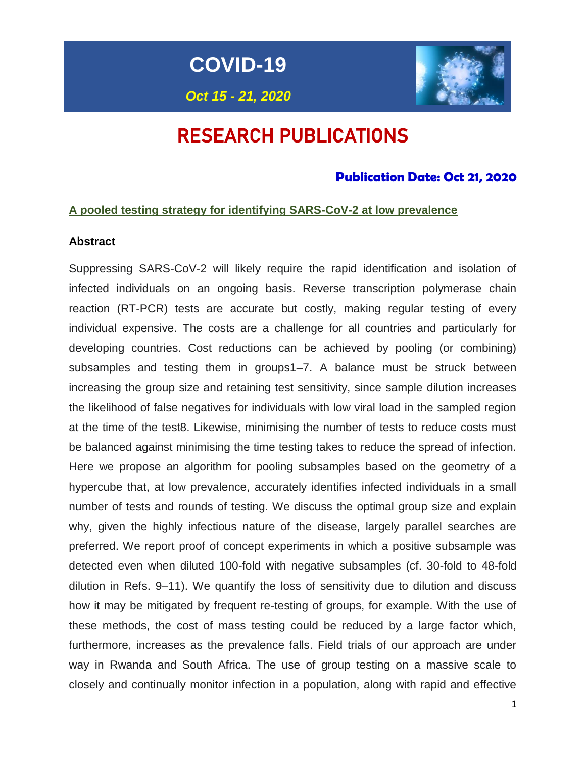**COVID-19**

*Oct 15 - 21, 2020*



# RESEARCH PUBLICATIONS

# **Publication Date: Oct 21, 2020**

### **A pooled testing strategy for identifying SARS-CoV-2 at low prevalence**

### **Abstract**

Suppressing SARS-CoV-2 will likely require the rapid identification and isolation of infected individuals on an ongoing basis. Reverse transcription polymerase chain reaction (RT-PCR) tests are accurate but costly, making regular testing of every individual expensive. The costs are a challenge for all countries and particularly for developing countries. Cost reductions can be achieved by pooling (or combining) subsamples and testing them in groups1–7. A balance must be struck between increasing the group size and retaining test sensitivity, since sample dilution increases the likelihood of false negatives for individuals with low viral load in the sampled region at the time of the test8. Likewise, minimising the number of tests to reduce costs must be balanced against minimising the time testing takes to reduce the spread of infection. Here we propose an algorithm for pooling subsamples based on the geometry of a hypercube that, at low prevalence, accurately identifies infected individuals in a small number of tests and rounds of testing. We discuss the optimal group size and explain why, given the highly infectious nature of the disease, largely parallel searches are preferred. We report proof of concept experiments in which a positive subsample was detected even when diluted 100-fold with negative subsamples (cf. 30-fold to 48-fold dilution in Refs. 9–11). We quantify the loss of sensitivity due to dilution and discuss how it may be mitigated by frequent re-testing of groups, for example. With the use of these methods, the cost of mass testing could be reduced by a large factor which, furthermore, increases as the prevalence falls. Field trials of our approach are under way in Rwanda and South Africa. The use of group testing on a massive scale to closely and continually monitor infection in a population, along with rapid and effective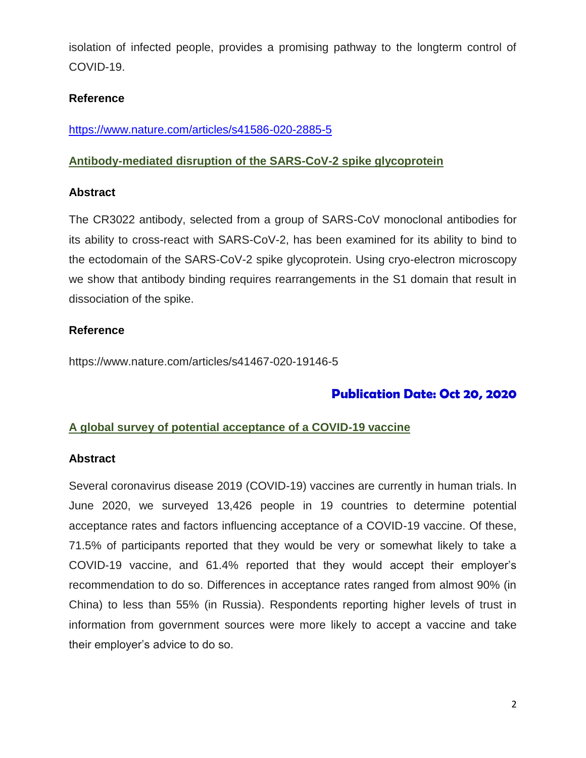isolation of infected people, provides a promising pathway to the longterm control of COVID-19.

### **Reference**

<https://www.nature.com/articles/s41586-020-2885-5>

### **Antibody-mediated disruption of the SARS-CoV-2 spike glycoprotein**

### **Abstract**

The CR3022 antibody, selected from a group of SARS-CoV monoclonal antibodies for its ability to cross-react with SARS-CoV-2, has been examined for its ability to bind to the ectodomain of the SARS-CoV-2 spike glycoprotein. Using cryo-electron microscopy we show that antibody binding requires rearrangements in the S1 domain that result in dissociation of the spike.

### **Reference**

https://www.nature.com/articles/s41467-020-19146-5

## **Publication Date: Oct 20, 2020**

### **A global survey of potential acceptance of a COVID-19 vaccine**

### **Abstract**

Several coronavirus disease 2019 (COVID-19) vaccines are currently in human trials. In June 2020, we surveyed 13,426 people in 19 countries to determine potential acceptance rates and factors influencing acceptance of a COVID-19 vaccine. Of these, 71.5% of participants reported that they would be very or somewhat likely to take a COVID-19 vaccine, and 61.4% reported that they would accept their employer's recommendation to do so. Differences in acceptance rates ranged from almost 90% (in China) to less than 55% (in Russia). Respondents reporting higher levels of trust in information from government sources were more likely to accept a vaccine and take their employer's advice to do so.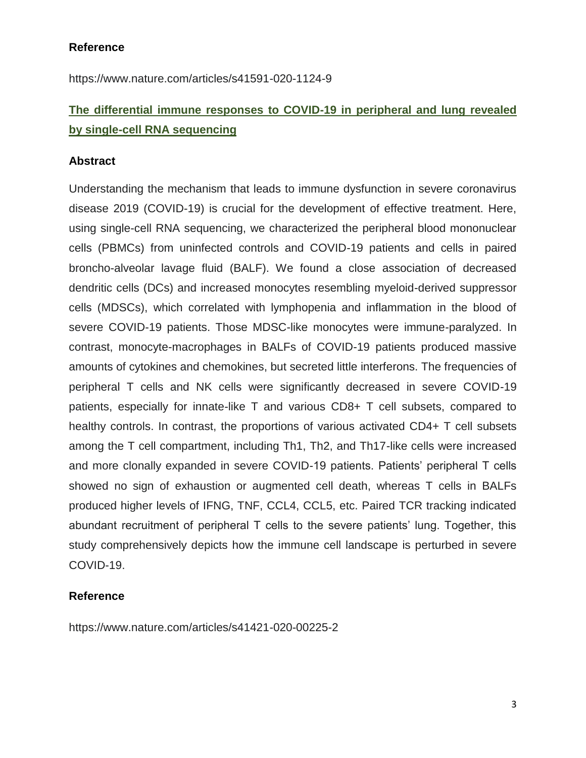**Reference**

https://www.nature.com/articles/s41591-020-1124-9

# **The differential immune responses to COVID-19 in peripheral and lung revealed by single-cell RNA sequencing**

### **Abstract**

Understanding the mechanism that leads to immune dysfunction in severe coronavirus disease 2019 (COVID-19) is crucial for the development of effective treatment. Here, using single-cell RNA sequencing, we characterized the peripheral blood mononuclear cells (PBMCs) from uninfected controls and COVID-19 patients and cells in paired broncho-alveolar lavage fluid (BALF). We found a close association of decreased dendritic cells (DCs) and increased monocytes resembling myeloid-derived suppressor cells (MDSCs), which correlated with lymphopenia and inflammation in the blood of severe COVID-19 patients. Those MDSC-like monocytes were immune-paralyzed. In contrast, monocyte-macrophages in BALFs of COVID-19 patients produced massive amounts of cytokines and chemokines, but secreted little interferons. The frequencies of peripheral T cells and NK cells were significantly decreased in severe COVID-19 patients, especially for innate-like T and various CD8+ T cell subsets, compared to healthy controls. In contrast, the proportions of various activated CD4+ T cell subsets among the T cell compartment, including Th1, Th2, and Th17-like cells were increased and more clonally expanded in severe COVID-19 patients. Patients' peripheral T cells showed no sign of exhaustion or augmented cell death, whereas T cells in BALFs produced higher levels of IFNG, TNF, CCL4, CCL5, etc. Paired TCR tracking indicated abundant recruitment of peripheral T cells to the severe patients' lung. Together, this study comprehensively depicts how the immune cell landscape is perturbed in severe COVID-19.

### **Reference**

https://www.nature.com/articles/s41421-020-00225-2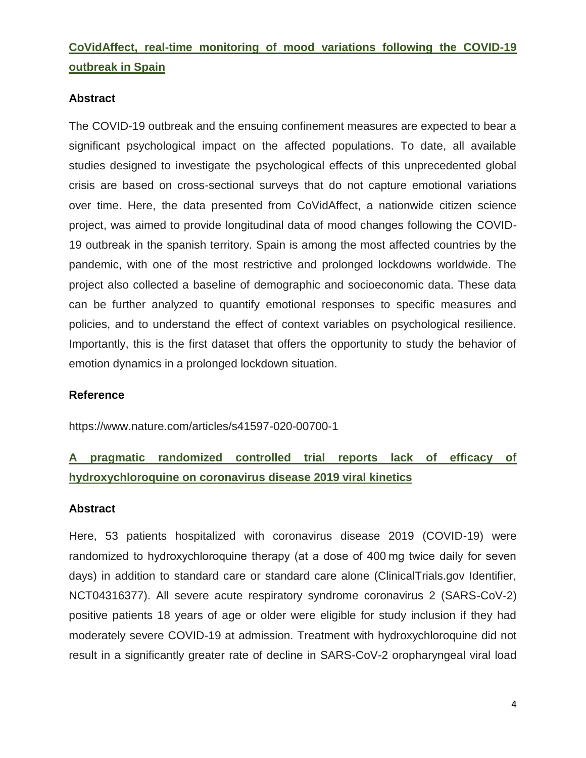# **CoVidAffect, real-time monitoring of mood variations following the COVID-19 outbreak in Spain**

### **Abstract**

The COVID-19 outbreak and the ensuing confinement measures are expected to bear a significant psychological impact on the affected populations. To date, all available studies designed to investigate the psychological effects of this unprecedented global crisis are based on cross-sectional surveys that do not capture emotional variations over time. Here, the data presented from CoVidAffect, a nationwide citizen science project, was aimed to provide longitudinal data of mood changes following the COVID-19 outbreak in the spanish territory. Spain is among the most affected countries by the pandemic, with one of the most restrictive and prolonged lockdowns worldwide. The project also collected a baseline of demographic and socioeconomic data. These data can be further analyzed to quantify emotional responses to specific measures and policies, and to understand the effect of context variables on psychological resilience. Importantly, this is the first dataset that offers the opportunity to study the behavior of emotion dynamics in a prolonged lockdown situation.

### **Reference**

https://www.nature.com/articles/s41597-020-00700-1

# **A pragmatic randomized controlled trial reports lack of efficacy of hydroxychloroquine on coronavirus disease 2019 viral kinetics**

### **Abstract**

Here, 53 patients hospitalized with coronavirus disease 2019 (COVID-19) were randomized to hydroxychloroquine therapy (at a dose of 400 mg twice daily for seven days) in addition to standard care or standard care alone (ClinicalTrials.gov Identifier, NCT04316377). All severe acute respiratory syndrome coronavirus 2 (SARS-CoV-2) positive patients 18 years of age or older were eligible for study inclusion if they had moderately severe COVID-19 at admission. Treatment with hydroxychloroquine did not result in a significantly greater rate of decline in SARS-CoV-2 oropharyngeal viral load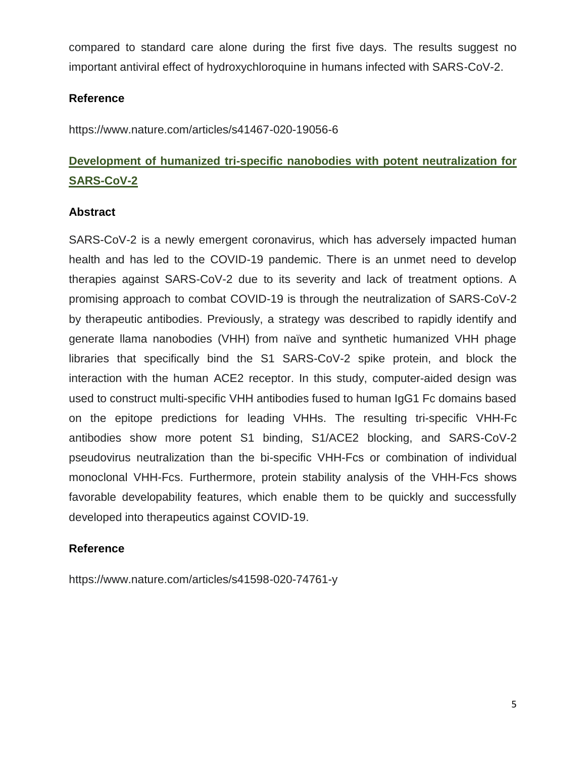compared to standard care alone during the first five days. The results suggest no important antiviral effect of hydroxychloroquine in humans infected with SARS-CoV-2.

### **Reference**

https://www.nature.com/articles/s41467-020-19056-6

# **Development of humanized tri-specific nanobodies with potent neutralization for SARS-CoV-2**

### **Abstract**

SARS-CoV-2 is a newly emergent coronavirus, which has adversely impacted human health and has led to the COVID-19 pandemic. There is an unmet need to develop therapies against SARS-CoV-2 due to its severity and lack of treatment options. A promising approach to combat COVID-19 is through the neutralization of SARS-CoV-2 by therapeutic antibodies. Previously, a strategy was described to rapidly identify and generate llama nanobodies (VHH) from naïve and synthetic humanized VHH phage libraries that specifically bind the S1 SARS-CoV-2 spike protein, and block the interaction with the human ACE2 receptor. In this study, computer-aided design was used to construct multi-specific VHH antibodies fused to human IgG1 Fc domains based on the epitope predictions for leading VHHs. The resulting tri-specific VHH-Fc antibodies show more potent S1 binding, S1/ACE2 blocking, and SARS-CoV-2 pseudovirus neutralization than the bi-specific VHH-Fcs or combination of individual monoclonal VHH-Fcs. Furthermore, protein stability analysis of the VHH-Fcs shows favorable developability features, which enable them to be quickly and successfully developed into therapeutics against COVID-19.

### **Reference**

https://www.nature.com/articles/s41598-020-74761-y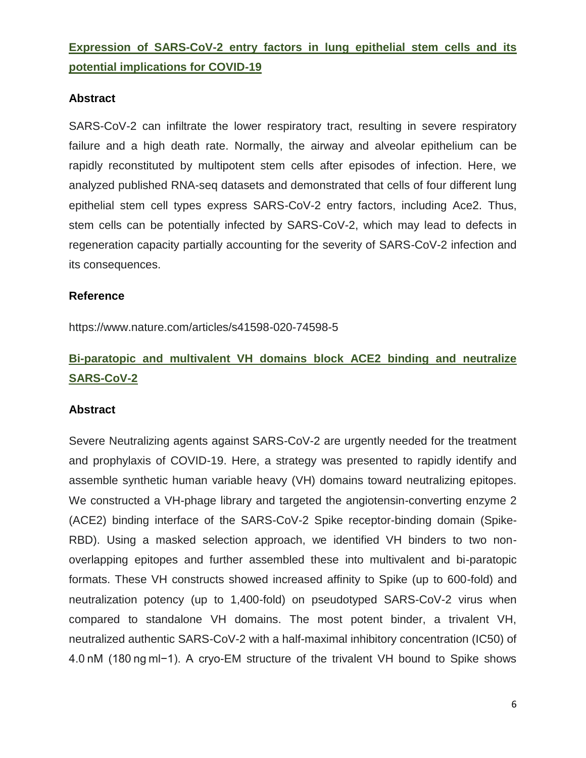# **Expression of SARS-CoV-2 entry factors in lung epithelial stem cells and its potential implications for COVID-19**

### **Abstract**

SARS-CoV-2 can infiltrate the lower respiratory tract, resulting in severe respiratory failure and a high death rate. Normally, the airway and alveolar epithelium can be rapidly reconstituted by multipotent stem cells after episodes of infection. Here, we analyzed published RNA-seq datasets and demonstrated that cells of four different lung epithelial stem cell types express SARS-CoV-2 entry factors, including Ace2. Thus, stem cells can be potentially infected by SARS-CoV-2, which may lead to defects in regeneration capacity partially accounting for the severity of SARS-CoV-2 infection and its consequences.

### **Reference**

https://www.nature.com/articles/s41598-020-74598-5

# **Bi-paratopic and multivalent VH domains block ACE2 binding and neutralize SARS-CoV-2**

### **Abstract**

Severe Neutralizing agents against SARS-CoV-2 are urgently needed for the treatment and prophylaxis of COVID-19. Here, a strategy was presented to rapidly identify and assemble synthetic human variable heavy (VH) domains toward neutralizing epitopes. We constructed a VH-phage library and targeted the angiotensin-converting enzyme 2 (ACE2) binding interface of the SARS-CoV-2 Spike receptor-binding domain (Spike-RBD). Using a masked selection approach, we identified VH binders to two nonoverlapping epitopes and further assembled these into multivalent and bi-paratopic formats. These VH constructs showed increased affinity to Spike (up to 600-fold) and neutralization potency (up to 1,400-fold) on pseudotyped SARS-CoV-2 virus when compared to standalone VH domains. The most potent binder, a trivalent VH, neutralized authentic SARS-CoV-2 with a half-maximal inhibitory concentration (IC50) of 4.0 nM (180 ng ml−1). A cryo-EM structure of the trivalent VH bound to Spike shows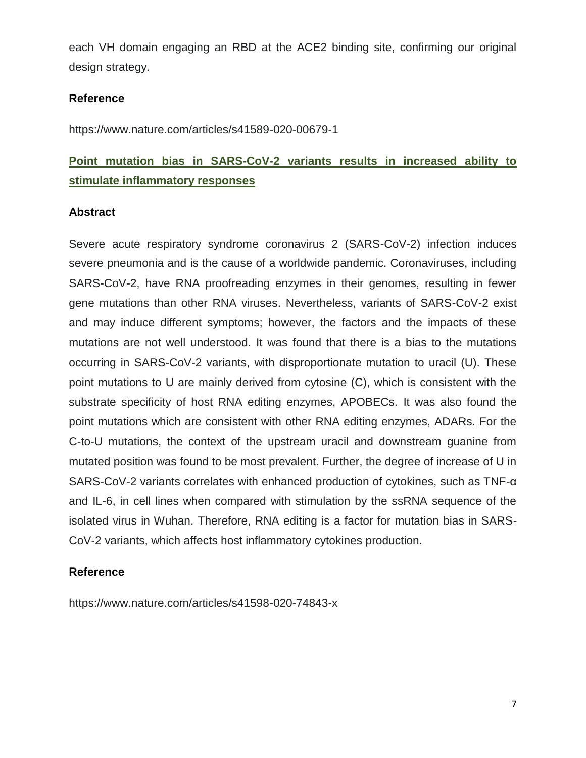each VH domain engaging an RBD at the ACE2 binding site, confirming our original design strategy.

### **Reference**

https://www.nature.com/articles/s41589-020-00679-1

# **Point mutation bias in SARS-CoV-2 variants results in increased ability to stimulate inflammatory responses**

### **Abstract**

Severe acute respiratory syndrome coronavirus 2 (SARS-CoV-2) infection induces severe pneumonia and is the cause of a worldwide pandemic. Coronaviruses, including SARS-CoV-2, have RNA proofreading enzymes in their genomes, resulting in fewer gene mutations than other RNA viruses. Nevertheless, variants of SARS-CoV-2 exist and may induce different symptoms; however, the factors and the impacts of these mutations are not well understood. It was found that there is a bias to the mutations occurring in SARS-CoV-2 variants, with disproportionate mutation to uracil (U). These point mutations to U are mainly derived from cytosine (C), which is consistent with the substrate specificity of host RNA editing enzymes, APOBECs. It was also found the point mutations which are consistent with other RNA editing enzymes, ADARs. For the C-to-U mutations, the context of the upstream uracil and downstream guanine from mutated position was found to be most prevalent. Further, the degree of increase of U in SARS-CoV-2 variants correlates with enhanced production of cytokines, such as TNF-α and IL-6, in cell lines when compared with stimulation by the ssRNA sequence of the isolated virus in Wuhan. Therefore, RNA editing is a factor for mutation bias in SARS-CoV-2 variants, which affects host inflammatory cytokines production.

### **Reference**

https://www.nature.com/articles/s41598-020-74843-x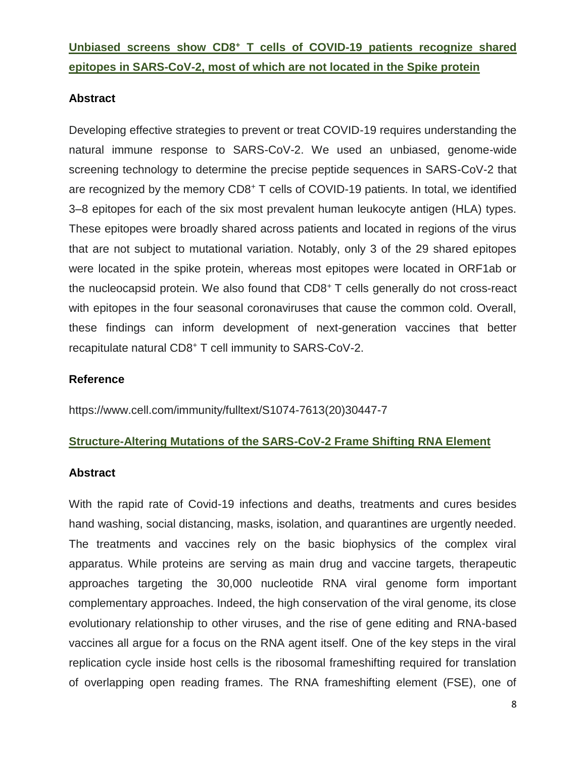**Unbiased screens show CD8<sup>+</sup> T cells of COVID-19 patients recognize shared epitopes in SARS-CoV-2, most of which are not located in the Spike protein**

### **Abstract**

Developing effective strategies to prevent or treat COVID-19 requires understanding the natural immune response to SARS-CoV-2. We used an unbiased, genome-wide screening technology to determine the precise peptide sequences in SARS-CoV-2 that are recognized by the memory CD8<sup>+</sup> T cells of COVID-19 patients. In total, we identified 3–8 epitopes for each of the six most prevalent human leukocyte antigen (HLA) types. These epitopes were broadly shared across patients and located in regions of the virus that are not subject to mutational variation. Notably, only 3 of the 29 shared epitopes were located in the spike protein, whereas most epitopes were located in ORF1ab or the nucleocapsid protein. We also found that CD8<sup>+</sup> T cells generally do not cross-react with epitopes in the four seasonal coronaviruses that cause the common cold. Overall, these findings can inform development of next-generation vaccines that better recapitulate natural CD8<sup>+</sup> T cell immunity to SARS-CoV-2.

### **Reference**

https://www.cell.com/immunity/fulltext/S1074-7613(20)30447-7

### **Structure-Altering Mutations of the SARS-CoV-2 Frame Shifting RNA Element**

### **Abstract**

With the rapid rate of Covid-19 infections and deaths, treatments and cures besides hand washing, social distancing, masks, isolation, and quarantines are urgently needed. The treatments and vaccines rely on the basic biophysics of the complex viral apparatus. While proteins are serving as main drug and vaccine targets, therapeutic approaches targeting the 30,000 nucleotide RNA viral genome form important complementary approaches. Indeed, the high conservation of the viral genome, its close evolutionary relationship to other viruses, and the rise of gene editing and RNA-based vaccines all argue for a focus on the RNA agent itself. One of the key steps in the viral replication cycle inside host cells is the ribosomal frameshifting required for translation of overlapping open reading frames. The RNA frameshifting element (FSE), one of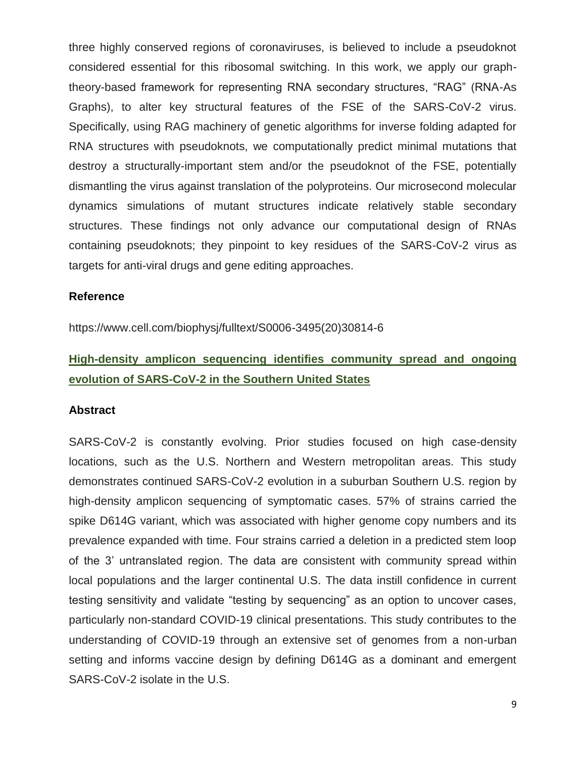three highly conserved regions of coronaviruses, is believed to include a pseudoknot considered essential for this ribosomal switching. In this work, we apply our graphtheory-based framework for representing RNA secondary structures, "RAG" (RNA-As Graphs), to alter key structural features of the FSE of the SARS-CoV-2 virus. Specifically, using RAG machinery of genetic algorithms for inverse folding adapted for RNA structures with pseudoknots, we computationally predict minimal mutations that destroy a structurally-important stem and/or the pseudoknot of the FSE, potentially dismantling the virus against translation of the polyproteins. Our microsecond molecular dynamics simulations of mutant structures indicate relatively stable secondary structures. These findings not only advance our computational design of RNAs containing pseudoknots; they pinpoint to key residues of the SARS-CoV-2 virus as targets for anti-viral drugs and gene editing approaches.

#### **Reference**

https://www.cell.com/biophysj/fulltext/S0006-3495(20)30814-6

# **High-density amplicon sequencing identifies community spread and ongoing evolution of SARS-CoV-2 in the Southern United States**

#### **Abstract**

SARS-CoV-2 is constantly evolving. Prior studies focused on high case-density locations, such as the U.S. Northern and Western metropolitan areas. This study demonstrates continued SARS-CoV-2 evolution in a suburban Southern U.S. region by high-density amplicon sequencing of symptomatic cases. 57% of strains carried the spike D614G variant, which was associated with higher genome copy numbers and its prevalence expanded with time. Four strains carried a deletion in a predicted stem loop of the 3' untranslated region. The data are consistent with community spread within local populations and the larger continental U.S. The data instill confidence in current testing sensitivity and validate "testing by sequencing" as an option to uncover cases, particularly non-standard COVID-19 clinical presentations. This study contributes to the understanding of COVID-19 through an extensive set of genomes from a non-urban setting and informs vaccine design by defining D614G as a dominant and emergent SARS-CoV-2 isolate in the U.S.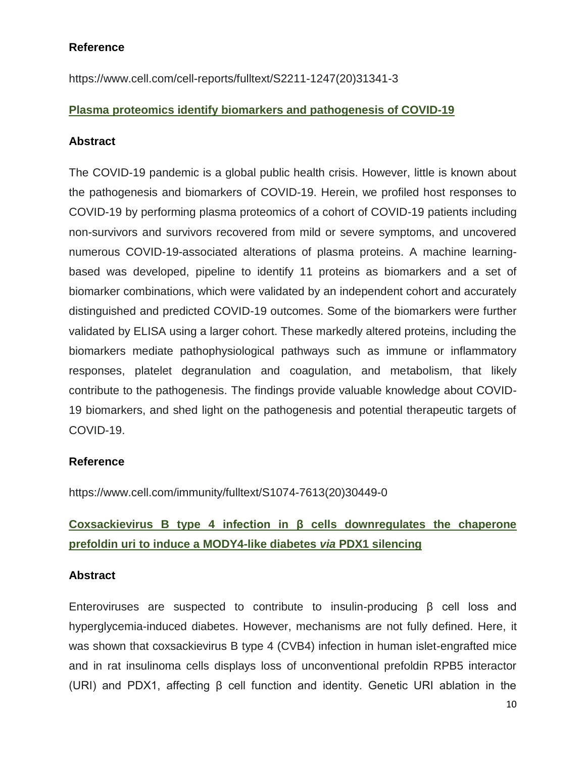### **Reference**

https://www.cell.com/cell-reports/fulltext/S2211-1247(20)31341-3

### **Plasma proteomics identify biomarkers and pathogenesis of COVID-19**

### **Abstract**

The COVID-19 pandemic is a global public health crisis. However, little is known about the pathogenesis and biomarkers of COVID-19. Herein, we profiled host responses to COVID-19 by performing plasma proteomics of a cohort of COVID-19 patients including non-survivors and survivors recovered from mild or severe symptoms, and uncovered numerous COVID-19-associated alterations of plasma proteins. A machine learningbased was developed, pipeline to identify 11 proteins as biomarkers and a set of biomarker combinations, which were validated by an independent cohort and accurately distinguished and predicted COVID-19 outcomes. Some of the biomarkers were further validated by ELISA using a larger cohort. These markedly altered proteins, including the biomarkers mediate pathophysiological pathways such as immune or inflammatory responses, platelet degranulation and coagulation, and metabolism, that likely contribute to the pathogenesis. The findings provide valuable knowledge about COVID-19 biomarkers, and shed light on the pathogenesis and potential therapeutic targets of COVID-19.

### **Reference**

https://www.cell.com/immunity/fulltext/S1074-7613(20)30449-0

# **Coxsackievirus B type 4 infection in β cells downregulates the chaperone prefoldin uri to induce a MODY4-like diabetes** *via* **PDX1 silencing**

### **Abstract**

Enteroviruses are suspected to contribute to insulin-producing β cell loss and hyperglycemia-induced diabetes. However, mechanisms are not fully defined. Here, it was shown that coxsackievirus B type 4 (CVB4) infection in human islet-engrafted mice and in rat insulinoma cells displays loss of unconventional prefoldin RPB5 interactor (URI) and PDX1, affecting β cell function and identity. Genetic URI ablation in the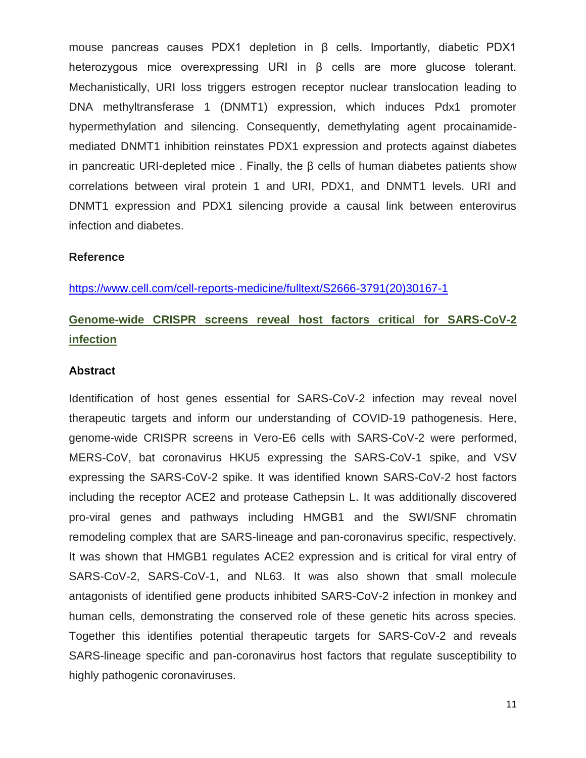mouse pancreas causes PDX1 depletion in β cells. Importantly, diabetic PDX1 heterozygous mice overexpressing URI in β cells are more glucose tolerant. Mechanistically, URI loss triggers estrogen receptor nuclear translocation leading to DNA methyltransferase 1 (DNMT1) expression, which induces Pdx1 promoter hypermethylation and silencing. Consequently, demethylating agent procainamidemediated DNMT1 inhibition reinstates PDX1 expression and protects against diabetes in pancreatic URI-depleted mice . Finally, the β cells of human diabetes patients show correlations between viral protein 1 and URI, PDX1, and DNMT1 levels. URI and DNMT1 expression and PDX1 silencing provide a causal link between enterovirus infection and diabetes.

#### **Reference**

[https://www.cell.com/cell-reports-medicine/fulltext/S2666-3791\(20\)30167-1](https://www.cell.com/cell-reports-medicine/fulltext/S2666-3791(20)30167-1)

# **Genome-wide CRISPR screens reveal host factors critical for SARS-CoV-2 infection**

#### **Abstract**

Identification of host genes essential for SARS-CoV-2 infection may reveal novel therapeutic targets and inform our understanding of COVID-19 pathogenesis. Here, genome-wide CRISPR screens in Vero-E6 cells with SARS-CoV-2 were performed, MERS-CoV, bat coronavirus HKU5 expressing the SARS-CoV-1 spike, and VSV expressing the SARS-CoV-2 spike. It was identified known SARS-CoV-2 host factors including the receptor ACE2 and protease Cathepsin L. It was additionally discovered pro-viral genes and pathways including HMGB1 and the SWI/SNF chromatin remodeling complex that are SARS-lineage and pan-coronavirus specific, respectively. It was shown that HMGB1 regulates ACE2 expression and is critical for viral entry of SARS-CoV-2, SARS-CoV-1, and NL63. It was also shown that small molecule antagonists of identified gene products inhibited SARS-CoV-2 infection in monkey and human cells, demonstrating the conserved role of these genetic hits across species. Together this identifies potential therapeutic targets for SARS-CoV-2 and reveals SARS-lineage specific and pan-coronavirus host factors that regulate susceptibility to highly pathogenic coronaviruses.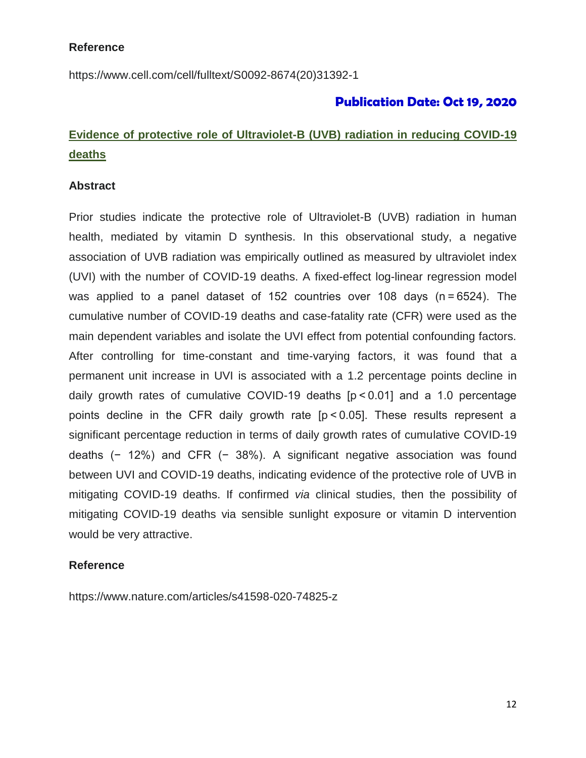### **Reference**

[https://www.cell.com/cell/fulltext/S0092-8674\(20\)31392-1](https://www.cell.com/cell/fulltext/S0092-8674(20)31392-1)

## **Publication Date: Oct 19, 2020**

# **Evidence of protective role of Ultraviolet-B (UVB) radiation in reducing COVID-19 deaths**

### **Abstract**

Prior studies indicate the protective role of Ultraviolet-B (UVB) radiation in human health, mediated by vitamin D synthesis. In this observational study, a negative association of UVB radiation was empirically outlined as measured by ultraviolet index (UVI) with the number of COVID-19 deaths. A fixed-effect log-linear regression model was applied to a panel dataset of 152 countries over 108 days (n = 6524). The cumulative number of COVID-19 deaths and case-fatality rate (CFR) were used as the main dependent variables and isolate the UVI effect from potential confounding factors. After controlling for time-constant and time-varying factors, it was found that a permanent unit increase in UVI is associated with a 1.2 percentage points decline in daily growth rates of cumulative COVID-19 deaths [p < 0.01] and a 1.0 percentage points decline in the CFR daily growth rate [p < 0.05]. These results represent a significant percentage reduction in terms of daily growth rates of cumulative COVID-19 deaths (− 12%) and CFR (− 38%). A significant negative association was found between UVI and COVID-19 deaths, indicating evidence of the protective role of UVB in mitigating COVID-19 deaths. If confirmed *via* clinical studies, then the possibility of mitigating COVID-19 deaths via sensible sunlight exposure or vitamin D intervention would be very attractive.

### **Reference**

<https://www.nature.com/articles/s41598-020-74825-z>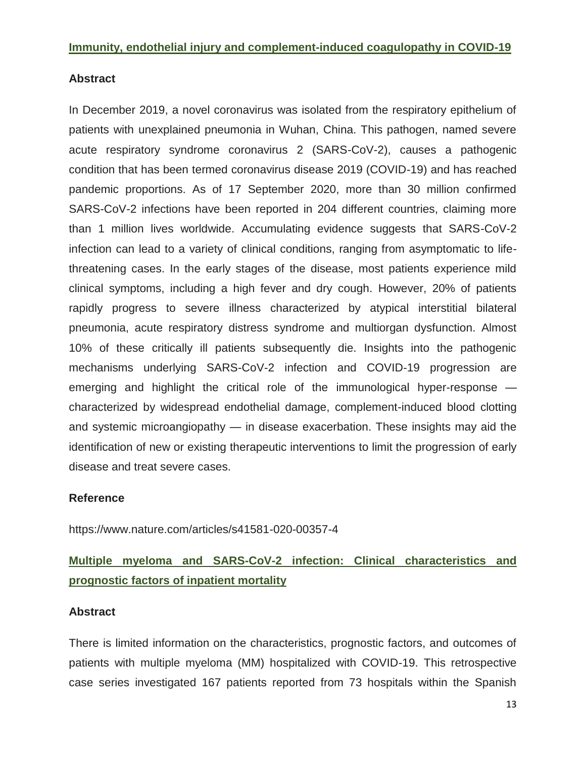### **Immunity, endothelial injury and complement-induced coagulopathy in COVID-19**

### **Abstract**

In December 2019, a novel coronavirus was isolated from the respiratory epithelium of patients with unexplained pneumonia in Wuhan, China. This pathogen, named severe acute respiratory syndrome coronavirus 2 (SARS-CoV-2), causes a pathogenic condition that has been termed coronavirus disease 2019 (COVID-19) and has reached pandemic proportions. As of 17 September 2020, more than 30 million confirmed SARS-CoV-2 infections have been reported in 204 different countries, claiming more than 1 million lives worldwide. Accumulating evidence suggests that SARS-CoV-2 infection can lead to a variety of clinical conditions, ranging from asymptomatic to lifethreatening cases. In the early stages of the disease, most patients experience mild clinical symptoms, including a high fever and dry cough. However, 20% of patients rapidly progress to severe illness characterized by atypical interstitial bilateral pneumonia, acute respiratory distress syndrome and multiorgan dysfunction. Almost 10% of these critically ill patients subsequently die. Insights into the pathogenic mechanisms underlying SARS-CoV-2 infection and COVID-19 progression are emerging and highlight the critical role of the immunological hyper-response characterized by widespread endothelial damage, complement-induced blood clotting and systemic microangiopathy — in disease exacerbation. These insights may aid the identification of new or existing therapeutic interventions to limit the progression of early disease and treat severe cases.

### **Reference**

<https://www.nature.com/articles/s41581-020-00357-4>

# **Multiple myeloma and SARS-CoV-2 infection: Clinical characteristics and prognostic factors of inpatient mortality**

### **Abstract**

There is limited information on the characteristics, prognostic factors, and outcomes of patients with multiple myeloma (MM) hospitalized with COVID-19. This retrospective case series investigated 167 patients reported from 73 hospitals within the Spanish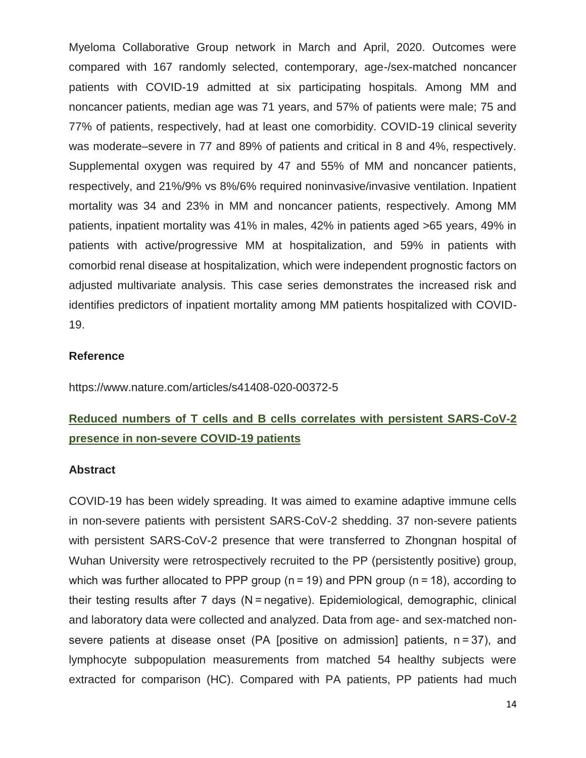Myeloma Collaborative Group network in March and April, 2020. Outcomes were compared with 167 randomly selected, contemporary, age-/sex-matched noncancer patients with COVID-19 admitted at six participating hospitals. Among MM and noncancer patients, median age was 71 years, and 57% of patients were male; 75 and 77% of patients, respectively, had at least one comorbidity. COVID-19 clinical severity was moderate–severe in 77 and 89% of patients and critical in 8 and 4%, respectively. Supplemental oxygen was required by 47 and 55% of MM and noncancer patients, respectively, and 21%/9% vs 8%/6% required noninvasive/invasive ventilation. Inpatient mortality was 34 and 23% in MM and noncancer patients, respectively. Among MM patients, inpatient mortality was 41% in males, 42% in patients aged >65 years, 49% in patients with active/progressive MM at hospitalization, and 59% in patients with comorbid renal disease at hospitalization, which were independent prognostic factors on adjusted multivariate analysis. This case series demonstrates the increased risk and identifies predictors of inpatient mortality among MM patients hospitalized with COVID-19.

#### **Reference**

https://www.nature.com/articles/s41408-020-00372-5

# **Reduced numbers of T cells and B cells correlates with persistent SARS-CoV-2 presence in non-severe COVID-19 patients**

#### **Abstract**

COVID-19 has been widely spreading. It was aimed to examine adaptive immune cells in non-severe patients with persistent SARS-CoV-2 shedding. 37 non-severe patients with persistent SARS-CoV-2 presence that were transferred to Zhongnan hospital of Wuhan University were retrospectively recruited to the PP (persistently positive) group, which was further allocated to PPP group ( $n = 19$ ) and PPN group ( $n = 18$ ), according to their testing results after 7 days (N = negative). Epidemiological, demographic, clinical and laboratory data were collected and analyzed. Data from age- and sex-matched nonsevere patients at disease onset (PA [positive on admission] patients, n = 37), and lymphocyte subpopulation measurements from matched 54 healthy subjects were extracted for comparison (HC). Compared with PA patients, PP patients had much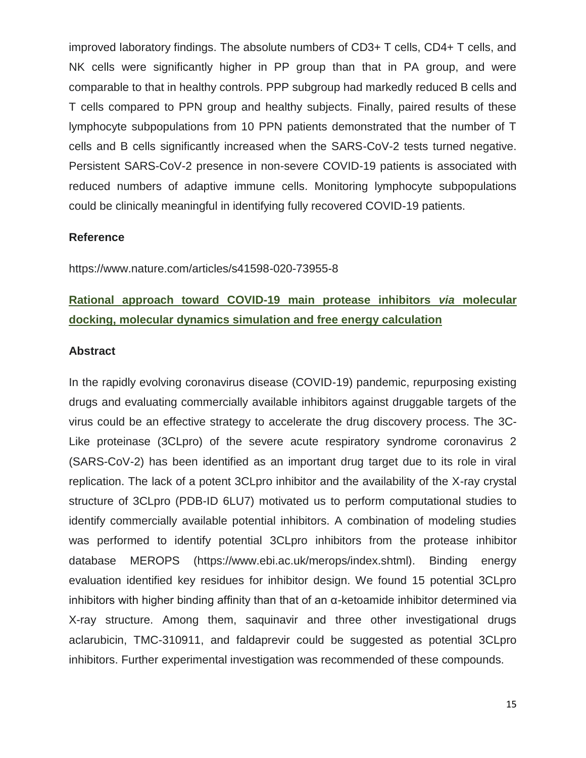improved laboratory findings. The absolute numbers of CD3+ T cells, CD4+ T cells, and NK cells were significantly higher in PP group than that in PA group, and were comparable to that in healthy controls. PPP subgroup had markedly reduced B cells and T cells compared to PPN group and healthy subjects. Finally, paired results of these lymphocyte subpopulations from 10 PPN patients demonstrated that the number of T cells and B cells significantly increased when the SARS-CoV-2 tests turned negative. Persistent SARS-CoV-2 presence in non-severe COVID-19 patients is associated with reduced numbers of adaptive immune cells. Monitoring lymphocyte subpopulations could be clinically meaningful in identifying fully recovered COVID-19 patients.

### **Reference**

https://www.nature.com/articles/s41598-020-73955-8

# **Rational approach toward COVID-19 main protease inhibitors** *via* **molecular docking, molecular dynamics simulation and free energy calculation**

#### **Abstract**

In the rapidly evolving coronavirus disease (COVID-19) pandemic, repurposing existing drugs and evaluating commercially available inhibitors against druggable targets of the virus could be an effective strategy to accelerate the drug discovery process. The 3C-Like proteinase (3CLpro) of the severe acute respiratory syndrome coronavirus 2 (SARS-CoV-2) has been identified as an important drug target due to its role in viral replication. The lack of a potent 3CLpro inhibitor and the availability of the X-ray crystal structure of 3CLpro (PDB-ID 6LU7) motivated us to perform computational studies to identify commercially available potential inhibitors. A combination of modeling studies was performed to identify potential 3CLpro inhibitors from the protease inhibitor database MEROPS (https://www.ebi.ac.uk/merops/index.shtml). Binding energy evaluation identified key residues for inhibitor design. We found 15 potential 3CLpro inhibitors with higher binding affinity than that of an α-ketoamide inhibitor determined via X-ray structure. Among them, saquinavir and three other investigational drugs aclarubicin, TMC-310911, and faldaprevir could be suggested as potential 3CLpro inhibitors. Further experimental investigation was recommended of these compounds.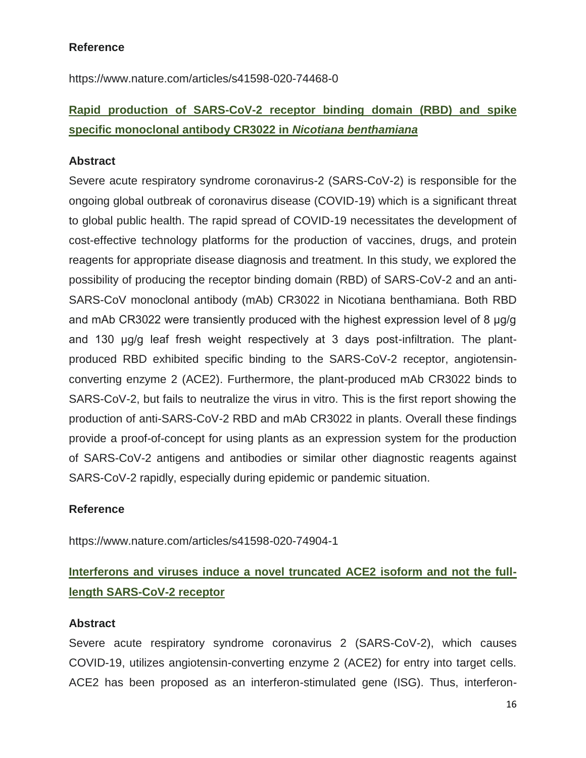**Reference** 

https://www.nature.com/articles/s41598-020-74468-0

# **Rapid production of SARS-CoV-2 receptor binding domain (RBD) and spike specific monoclonal antibody CR3022 in** *Nicotiana benthamiana*

### **Abstract**

Severe acute respiratory syndrome coronavirus-2 (SARS-CoV-2) is responsible for the ongoing global outbreak of coronavirus disease (COVID-19) which is a significant threat to global public health. The rapid spread of COVID-19 necessitates the development of cost-effective technology platforms for the production of vaccines, drugs, and protein reagents for appropriate disease diagnosis and treatment. In this study, we explored the possibility of producing the receptor binding domain (RBD) of SARS-CoV-2 and an anti-SARS-CoV monoclonal antibody (mAb) CR3022 in Nicotiana benthamiana. Both RBD and mAb CR3022 were transiently produced with the highest expression level of 8 μg/g and 130 μg/g leaf fresh weight respectively at 3 days post-infiltration. The plantproduced RBD exhibited specific binding to the SARS-CoV-2 receptor, angiotensinconverting enzyme 2 (ACE2). Furthermore, the plant-produced mAb CR3022 binds to SARS-CoV-2, but fails to neutralize the virus in vitro. This is the first report showing the production of anti-SARS-CoV-2 RBD and mAb CR3022 in plants. Overall these findings provide a proof-of-concept for using plants as an expression system for the production of SARS-CoV-2 antigens and antibodies or similar other diagnostic reagents against SARS-CoV-2 rapidly, especially during epidemic or pandemic situation.

### **Reference**

<https://www.nature.com/articles/s41598-020-74904-1>

# **Interferons and viruses induce a novel truncated ACE2 isoform and not the fulllength SARS-CoV-2 receptor**

### **Abstract**

Severe acute respiratory syndrome coronavirus 2 (SARS-CoV-2), which causes COVID-19, utilizes angiotensin-converting enzyme 2 (ACE2) for entry into target cells. ACE2 has been proposed as an interferon-stimulated gene (ISG). Thus, interferon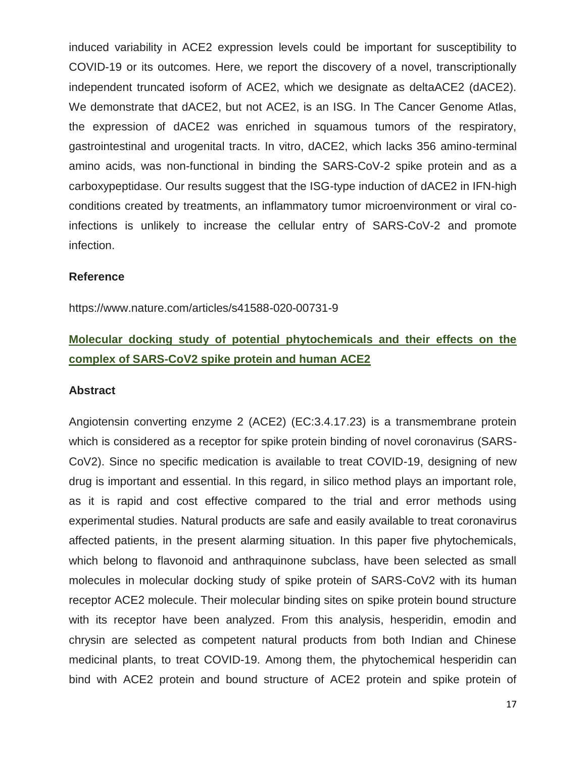induced variability in ACE2 expression levels could be important for susceptibility to COVID-19 or its outcomes. Here, we report the discovery of a novel, transcriptionally independent truncated isoform of ACE2, which we designate as deltaACE2 (dACE2). We demonstrate that dACE2, but not ACE2, is an ISG. In The Cancer Genome Atlas, the expression of dACE2 was enriched in squamous tumors of the respiratory, gastrointestinal and urogenital tracts. In vitro, dACE2, which lacks 356 amino-terminal amino acids, was non-functional in binding the SARS-CoV-2 spike protein and as a carboxypeptidase. Our results suggest that the ISG-type induction of dACE2 in IFN-high conditions created by treatments, an inflammatory tumor microenvironment or viral coinfections is unlikely to increase the cellular entry of SARS-CoV-2 and promote infection.

#### **Reference**

https://www.nature.com/articles/s41588-020-00731-9

# **Molecular docking study of potential phytochemicals and their effects on the complex of SARS-CoV2 spike protein and human ACE2**

#### **Abstract**

Angiotensin converting enzyme 2 (ACE2) (EC:3.4.17.23) is a transmembrane protein which is considered as a receptor for spike protein binding of novel coronavirus (SARS-CoV2). Since no specific medication is available to treat COVID-19, designing of new drug is important and essential. In this regard, in silico method plays an important role, as it is rapid and cost effective compared to the trial and error methods using experimental studies. Natural products are safe and easily available to treat coronavirus affected patients, in the present alarming situation. In this paper five phytochemicals, which belong to flavonoid and anthraquinone subclass, have been selected as small molecules in molecular docking study of spike protein of SARS-CoV2 with its human receptor ACE2 molecule. Their molecular binding sites on spike protein bound structure with its receptor have been analyzed. From this analysis, hesperidin, emodin and chrysin are selected as competent natural products from both Indian and Chinese medicinal plants, to treat COVID-19. Among them, the phytochemical hesperidin can bind with ACE2 protein and bound structure of ACE2 protein and spike protein of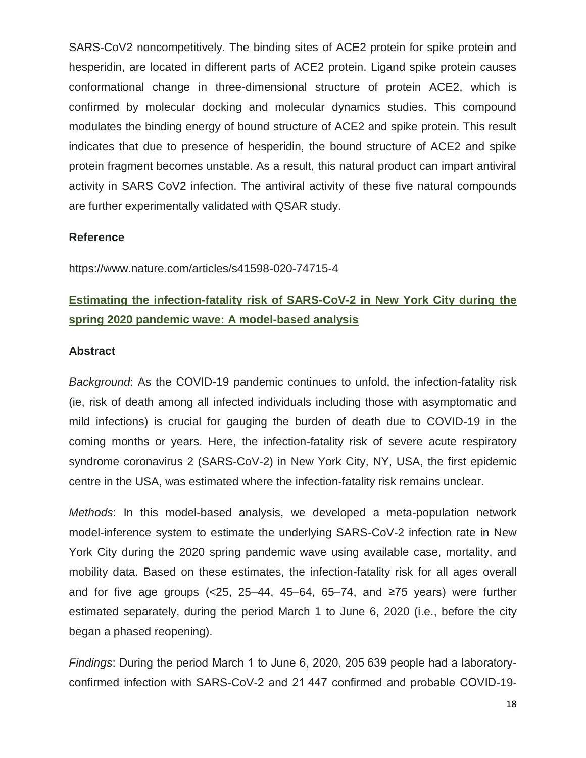SARS-CoV2 noncompetitively. The binding sites of ACE2 protein for spike protein and hesperidin, are located in different parts of ACE2 protein. Ligand spike protein causes conformational change in three-dimensional structure of protein ACE2, which is confirmed by molecular docking and molecular dynamics studies. This compound modulates the binding energy of bound structure of ACE2 and spike protein. This result indicates that due to presence of hesperidin, the bound structure of ACE2 and spike protein fragment becomes unstable. As a result, this natural product can impart antiviral activity in SARS CoV2 infection. The antiviral activity of these five natural compounds are further experimentally validated with QSAR study.

### **Reference**

https://www.nature.com/articles/s41598-020-74715-4

# **Estimating the infection-fatality risk of SARS-CoV-2 in New York City during the spring 2020 pandemic wave: A model-based analysis**

### **Abstract**

*Background*: As the COVID-19 pandemic continues to unfold, the infection-fatality risk (ie, risk of death among all infected individuals including those with asymptomatic and mild infections) is crucial for gauging the burden of death due to COVID-19 in the coming months or years. Here, the infection-fatality risk of severe acute respiratory syndrome coronavirus 2 (SARS-CoV-2) in New York City, NY, USA, the first epidemic centre in the USA, was estimated where the infection-fatality risk remains unclear.

*Methods*: In this model-based analysis, we developed a meta-population network model-inference system to estimate the underlying SARS-CoV-2 infection rate in New York City during the 2020 spring pandemic wave using available case, mortality, and mobility data. Based on these estimates, the infection-fatality risk for all ages overall and for five age groups (<25, 25–44, 45–64, 65–74, and  $\geq$ 75 years) were further estimated separately, during the period March 1 to June 6, 2020 (i.e., before the city began a phased reopening).

*Findings*: During the period March 1 to June 6, 2020, 205 639 people had a laboratoryconfirmed infection with SARS-CoV-2 and 21 447 confirmed and probable COVID-19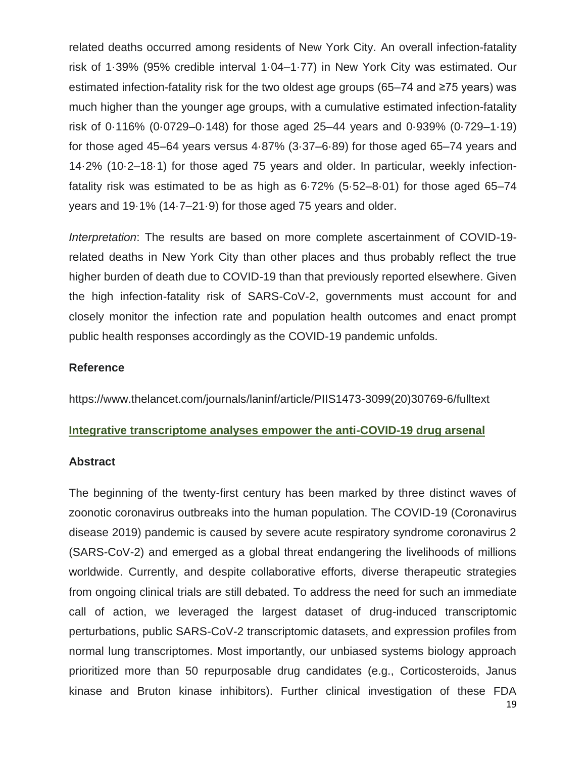related deaths occurred among residents of New York City. An overall infection-fatality risk of 1·39% (95% credible interval 1·04–1·77) in New York City was estimated. Our estimated infection-fatality risk for the two oldest age groups (65–74 and ≥75 years) was much higher than the younger age groups, with a cumulative estimated infection-fatality risk of 0·116% (0·0729–0·148) for those aged 25–44 years and 0·939% (0·729–1·19) for those aged 45–64 years versus 4·87% (3·37–6·89) for those aged 65–74 years and 14·2% (10·2–18·1) for those aged 75 years and older. In particular, weekly infectionfatality risk was estimated to be as high as 6·72% (5·52–8·01) for those aged 65–74 years and 19·1% (14·7–21·9) for those aged 75 years and older.

*Interpretation*: The results are based on more complete ascertainment of COVID-19 related deaths in New York City than other places and thus probably reflect the true higher burden of death due to COVID-19 than that previously reported elsewhere. Given the high infection-fatality risk of SARS-CoV-2, governments must account for and closely monitor the infection rate and population health outcomes and enact prompt public health responses accordingly as the COVID-19 pandemic unfolds.

### **Reference**

https://www.thelancet.com/journals/laninf/article/PIIS1473-3099(20)30769-6/fulltext

#### **Integrative transcriptome analyses empower the anti-COVID-19 drug arsenal**

#### **Abstract**

The beginning of the twenty-first century has been marked by three distinct waves of zoonotic coronavirus outbreaks into the human population. The COVID-19 (Coronavirus disease 2019) pandemic is caused by severe acute respiratory syndrome coronavirus 2 (SARS-CoV-2) and emerged as a global threat endangering the livelihoods of millions worldwide. Currently, and despite collaborative efforts, diverse therapeutic strategies from ongoing clinical trials are still debated. To address the need for such an immediate call of action, we leveraged the largest dataset of drug-induced transcriptomic perturbations, public SARS-CoV-2 transcriptomic datasets, and expression profiles from normal lung transcriptomes. Most importantly, our unbiased systems biology approach prioritized more than 50 repurposable drug candidates (e.g., Corticosteroids, Janus kinase and Bruton kinase inhibitors). Further clinical investigation of these FDA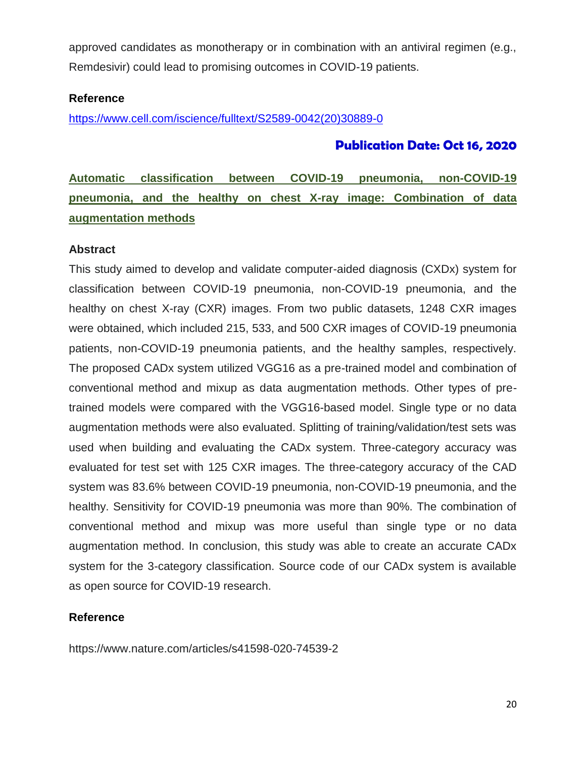approved candidates as monotherapy or in combination with an antiviral regimen (e.g., Remdesivir) could lead to promising outcomes in COVID-19 patients.

### **Reference**

[https://www.cell.com/iscience/fulltext/S2589-0042\(20\)30889-0](https://www.cell.com/iscience/fulltext/S2589-0042(20)30889-0)

### **Publication Date: Oct 16, 2020**

**Automatic classification between COVID-19 pneumonia, non-COVID-19 pneumonia, and the healthy on chest X-ray image: Combination of data augmentation methods** 

#### **Abstract**

This study aimed to develop and validate computer-aided diagnosis (CXDx) system for classification between COVID-19 pneumonia, non-COVID-19 pneumonia, and the healthy on chest X-ray (CXR) images. From two public datasets, 1248 CXR images were obtained, which included 215, 533, and 500 CXR images of COVID-19 pneumonia patients, non-COVID-19 pneumonia patients, and the healthy samples, respectively. The proposed CADx system utilized VGG16 as a pre-trained model and combination of conventional method and mixup as data augmentation methods. Other types of pretrained models were compared with the VGG16-based model. Single type or no data augmentation methods were also evaluated. Splitting of training/validation/test sets was used when building and evaluating the CADx system. Three-category accuracy was evaluated for test set with 125 CXR images. The three-category accuracy of the CAD system was 83.6% between COVID-19 pneumonia, non-COVID-19 pneumonia, and the healthy. Sensitivity for COVID-19 pneumonia was more than 90%. The combination of conventional method and mixup was more useful than single type or no data augmentation method. In conclusion, this study was able to create an accurate CADx system for the 3-category classification. Source code of our CADx system is available as open source for COVID-19 research.

### **Reference**

<https://www.nature.com/articles/s41598-020-74539-2>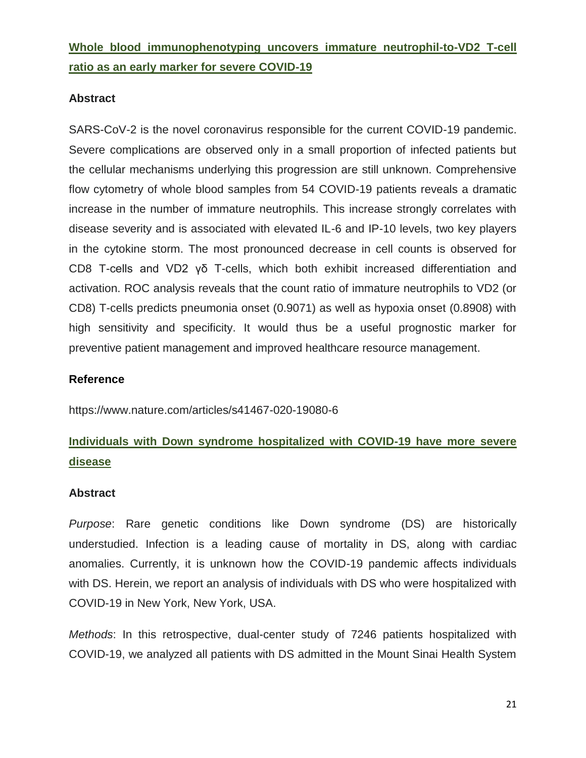# **Whole blood immunophenotyping uncovers immature neutrophil-to-VD2 T-cell ratio as an early marker for severe COVID-19**

### **Abstract**

SARS-CoV-2 is the novel coronavirus responsible for the current COVID-19 pandemic. Severe complications are observed only in a small proportion of infected patients but the cellular mechanisms underlying this progression are still unknown. Comprehensive flow cytometry of whole blood samples from 54 COVID-19 patients reveals a dramatic increase in the number of immature neutrophils. This increase strongly correlates with disease severity and is associated with elevated IL-6 and IP-10 levels, two key players in the cytokine storm. The most pronounced decrease in cell counts is observed for CD8 T-cells and VD2 γδ T-cells, which both exhibit increased differentiation and activation. ROC analysis reveals that the count ratio of immature neutrophils to VD2 (or CD8) T-cells predicts pneumonia onset (0.9071) as well as hypoxia onset (0.8908) with high sensitivity and specificity. It would thus be a useful prognostic marker for preventive patient management and improved healthcare resource management.

### **Reference**

https://www.nature.com/articles/s41467-020-19080-6

# **Individuals with Down syndrome hospitalized with COVID-19 have more severe disease**

#### **Abstract**

*Purpose*: Rare genetic conditions like Down syndrome (DS) are historically understudied. Infection is a leading cause of mortality in DS, along with cardiac anomalies. Currently, it is unknown how the COVID-19 pandemic affects individuals with DS. Herein, we report an analysis of individuals with DS who were hospitalized with COVID-19 in New York, New York, USA.

*Methods*: In this retrospective, dual-center study of 7246 patients hospitalized with COVID-19, we analyzed all patients with DS admitted in the Mount Sinai Health System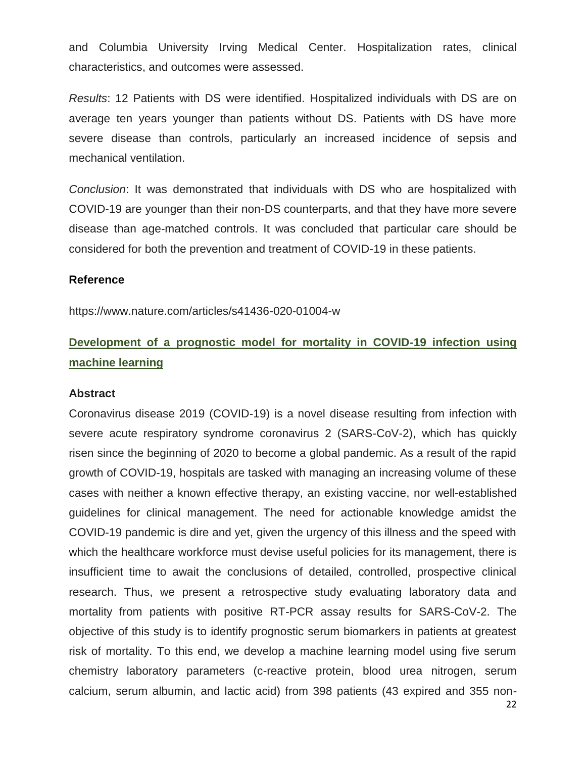and Columbia University Irving Medical Center. Hospitalization rates, clinical characteristics, and outcomes were assessed.

*Results*: 12 Patients with DS were identified. Hospitalized individuals with DS are on average ten years younger than patients without DS. Patients with DS have more severe disease than controls, particularly an increased incidence of sepsis and mechanical ventilation.

*Conclusion*: It was demonstrated that individuals with DS who are hospitalized with COVID-19 are younger than their non-DS counterparts, and that they have more severe disease than age-matched controls. It was concluded that particular care should be considered for both the prevention and treatment of COVID-19 in these patients.

#### **Reference**

https://www.nature.com/articles/s41436-020-01004-w

# **Development of a prognostic model for mortality in COVID-19 infection using machine learning**

#### **Abstract**

Coronavirus disease 2019 (COVID-19) is a novel disease resulting from infection with severe acute respiratory syndrome coronavirus 2 (SARS-CoV-2), which has quickly risen since the beginning of 2020 to become a global pandemic. As a result of the rapid growth of COVID-19, hospitals are tasked with managing an increasing volume of these cases with neither a known effective therapy, an existing vaccine, nor well-established guidelines for clinical management. The need for actionable knowledge amidst the COVID-19 pandemic is dire and yet, given the urgency of this illness and the speed with which the healthcare workforce must devise useful policies for its management, there is insufficient time to await the conclusions of detailed, controlled, prospective clinical research. Thus, we present a retrospective study evaluating laboratory data and mortality from patients with positive RT-PCR assay results for SARS-CoV-2. The objective of this study is to identify prognostic serum biomarkers in patients at greatest risk of mortality. To this end, we develop a machine learning model using five serum chemistry laboratory parameters (c-reactive protein, blood urea nitrogen, serum calcium, serum albumin, and lactic acid) from 398 patients (43 expired and 355 non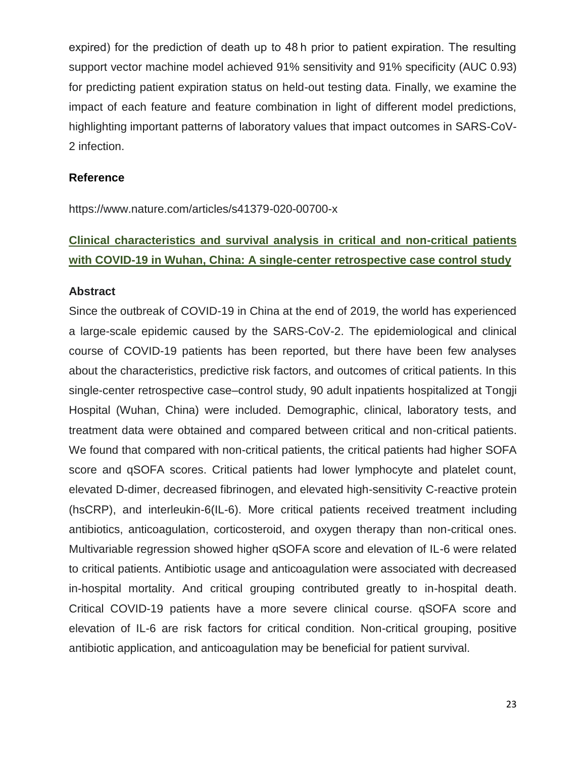expired) for the prediction of death up to 48 h prior to patient expiration. The resulting support vector machine model achieved 91% sensitivity and 91% specificity (AUC 0.93) for predicting patient expiration status on held-out testing data. Finally, we examine the impact of each feature and feature combination in light of different model predictions, highlighting important patterns of laboratory values that impact outcomes in SARS-CoV-2 infection.

#### **Reference**

<https://www.nature.com/articles/s41379-020-00700-x>

# **Clinical characteristics and survival analysis in critical and non-critical patients with COVID-19 in Wuhan, China: A single-center retrospective case control study**

### **Abstract**

Since the outbreak of COVID-19 in China at the end of 2019, the world has experienced a large-scale epidemic caused by the SARS-CoV-2. The epidemiological and clinical course of COVID-19 patients has been reported, but there have been few analyses about the characteristics, predictive risk factors, and outcomes of critical patients. In this single-center retrospective case–control study, 90 adult inpatients hospitalized at Tongji Hospital (Wuhan, China) were included. Demographic, clinical, laboratory tests, and treatment data were obtained and compared between critical and non-critical patients. We found that compared with non-critical patients, the critical patients had higher SOFA score and qSOFA scores. Critical patients had lower lymphocyte and platelet count, elevated D-dimer, decreased fibrinogen, and elevated high-sensitivity C-reactive protein (hsCRP), and interleukin-6(IL-6). More critical patients received treatment including antibiotics, anticoagulation, corticosteroid, and oxygen therapy than non-critical ones. Multivariable regression showed higher qSOFA score and elevation of IL-6 were related to critical patients. Antibiotic usage and anticoagulation were associated with decreased in-hospital mortality. And critical grouping contributed greatly to in-hospital death. Critical COVID-19 patients have a more severe clinical course. qSOFA score and elevation of IL-6 are risk factors for critical condition. Non-critical grouping, positive antibiotic application, and anticoagulation may be beneficial for patient survival.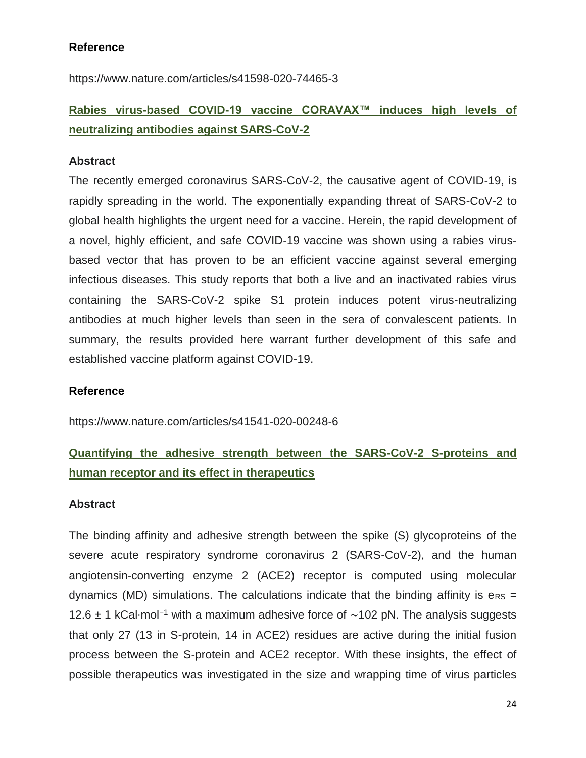**Reference** 

https://www.nature.com/articles/s41598-020-74465-3

# **Rabies virus-based COVID-19 vaccine CORAVAX™ induces high levels of neutralizing antibodies against SARS-CoV-2**

### **Abstract**

The recently emerged coronavirus SARS-CoV-2, the causative agent of COVID-19, is rapidly spreading in the world. The exponentially expanding threat of SARS-CoV-2 to global health highlights the urgent need for a vaccine. Herein, the rapid development of a novel, highly efficient, and safe COVID-19 vaccine was shown using a rabies virusbased vector that has proven to be an efficient vaccine against several emerging infectious diseases. This study reports that both a live and an inactivated rabies virus containing the SARS-CoV-2 spike S1 protein induces potent virus-neutralizing antibodies at much higher levels than seen in the sera of convalescent patients. In summary, the results provided here warrant further development of this safe and established vaccine platform against COVID-19.

#### **Reference**

<https://www.nature.com/articles/s41541-020-00248-6>

# **Quantifying the adhesive strength between the SARS-CoV-2 S-proteins and human receptor and its effect in therapeutics**

#### **Abstract**

The binding affinity and adhesive strength between the spike (S) glycoproteins of the severe acute respiratory syndrome coronavirus 2 (SARS-CoV-2), and the human angiotensin-converting enzyme 2 (ACE2) receptor is computed using molecular dynamics (MD) simulations. The calculations indicate that the binding affinity is  $\text{e}_{\text{RS}} =$ 12.6 ± 1 kCal⋅mol−1 with a maximum adhesive force of ∼102 pN. The analysis suggests that only 27 (13 in S-protein, 14 in ACE2) residues are active during the initial fusion process between the S-protein and ACE2 receptor. With these insights, the effect of possible therapeutics was investigated in the size and wrapping time of virus particles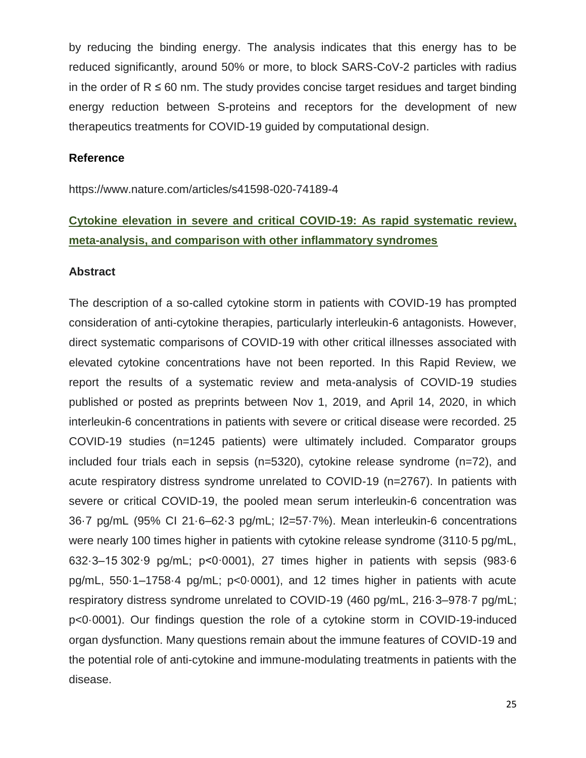by reducing the binding energy. The analysis indicates that this energy has to be reduced significantly, around 50% or more, to block SARS-CoV-2 particles with radius in the order of  $R \leq 60$  nm. The study provides concise target residues and target binding energy reduction between S-proteins and receptors for the development of new therapeutics treatments for COVID-19 guided by computational design.

#### **Reference**

https://www.nature.com/articles/s41598-020-74189-4

# **Cytokine elevation in severe and critical COVID-19: As rapid systematic review, meta-analysis, and comparison with other inflammatory syndromes**

### **Abstract**

The description of a so-called cytokine storm in patients with COVID-19 has prompted consideration of anti-cytokine therapies, particularly interleukin-6 antagonists. However, direct systematic comparisons of COVID-19 with other critical illnesses associated with elevated cytokine concentrations have not been reported. In this Rapid Review, we report the results of a systematic review and meta-analysis of COVID-19 studies published or posted as preprints between Nov 1, 2019, and April 14, 2020, in which interleukin-6 concentrations in patients with severe or critical disease were recorded. 25 COVID-19 studies (n=1245 patients) were ultimately included. Comparator groups included four trials each in sepsis (n=5320), cytokine release syndrome (n=72), and acute respiratory distress syndrome unrelated to COVID-19 (n=2767). In patients with severe or critical COVID-19, the pooled mean serum interleukin-6 concentration was 36·7 pg/mL (95% CI 21·6–62·3 pg/mL; I2=57·7%). Mean interleukin-6 concentrations were nearly 100 times higher in patients with cytokine release syndrome (3110·5 pg/mL, 632·3–15 302·9 pg/mL; p<0·0001), 27 times higher in patients with sepsis (983·6 pg/mL, 550·1–1758·4 pg/mL; p<0·0001), and 12 times higher in patients with acute respiratory distress syndrome unrelated to COVID-19 (460 pg/mL, 216·3–978·7 pg/mL; p<0·0001). Our findings question the role of a cytokine storm in COVID-19-induced organ dysfunction. Many questions remain about the immune features of COVID-19 and the potential role of anti-cytokine and immune-modulating treatments in patients with the disease.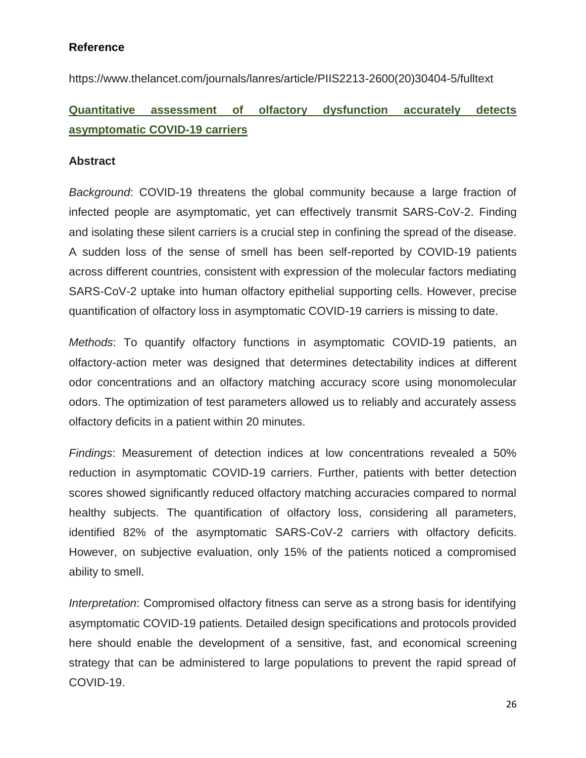### **Reference**

[https://www.thelancet.com/journals/lanres/article/PIIS2213-2600\(20\)30404-5/fulltext](https://www.thelancet.com/journals/lanres/article/PIIS2213-2600(20)30404-5/fulltext)

# **Quantitative assessment of olfactory dysfunction accurately detects asymptomatic COVID-19 carriers**

### **Abstract**

*Background*: COVID-19 threatens the global community because a large fraction of infected people are asymptomatic, yet can effectively transmit SARS-CoV-2. Finding and isolating these silent carriers is a crucial step in confining the spread of the disease. A sudden loss of the sense of smell has been self-reported by COVID-19 patients across different countries, consistent with expression of the molecular factors mediating SARS-CoV-2 uptake into human olfactory epithelial supporting cells. However, precise quantification of olfactory loss in asymptomatic COVID-19 carriers is missing to date.

*Methods*: To quantify olfactory functions in asymptomatic COVID-19 patients, an olfactory-action meter was designed that determines detectability indices at different odor concentrations and an olfactory matching accuracy score using monomolecular odors. The optimization of test parameters allowed us to reliably and accurately assess olfactory deficits in a patient within 20 minutes.

*Findings*: Measurement of detection indices at low concentrations revealed a 50% reduction in asymptomatic COVID-19 carriers. Further, patients with better detection scores showed significantly reduced olfactory matching accuracies compared to normal healthy subjects. The quantification of olfactory loss, considering all parameters, identified 82% of the asymptomatic SARS-CoV-2 carriers with olfactory deficits. However, on subjective evaluation, only 15% of the patients noticed a compromised ability to smell.

*Interpretation*: Compromised olfactory fitness can serve as a strong basis for identifying asymptomatic COVID-19 patients. Detailed design specifications and protocols provided here should enable the development of a sensitive, fast, and economical screening strategy that can be administered to large populations to prevent the rapid spread of COVID-19.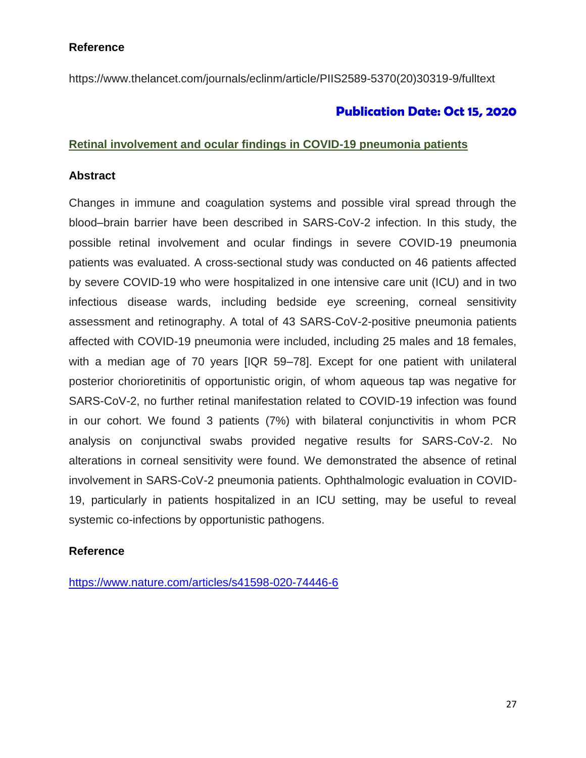### **Reference**

[https://www.thelancet.com/journals/eclinm/article/PIIS2589-5370\(20\)30319-9/fulltext](https://www.thelancet.com/journals/eclinm/article/PIIS2589-5370(20)30319-9/fulltext)

## **Publication Date: Oct 15, 2020**

### **Retinal involvement and ocular findings in COVID-19 pneumonia patients**

### **Abstract**

Changes in immune and coagulation systems and possible viral spread through the blood–brain barrier have been described in SARS-CoV-2 infection. In this study, the possible retinal involvement and ocular findings in severe COVID-19 pneumonia patients was evaluated. A cross-sectional study was conducted on 46 patients affected by severe COVID-19 who were hospitalized in one intensive care unit (ICU) and in two infectious disease wards, including bedside eye screening, corneal sensitivity assessment and retinography. A total of 43 SARS-CoV-2-positive pneumonia patients affected with COVID-19 pneumonia were included, including 25 males and 18 females, with a median age of 70 years [IQR 59–78]. Except for one patient with unilateral posterior chorioretinitis of opportunistic origin, of whom aqueous tap was negative for SARS-CoV-2, no further retinal manifestation related to COVID-19 infection was found in our cohort. We found 3 patients (7%) with bilateral conjunctivitis in whom PCR analysis on conjunctival swabs provided negative results for SARS-CoV-2. No alterations in corneal sensitivity were found. We demonstrated the absence of retinal involvement in SARS-CoV-2 pneumonia patients. Ophthalmologic evaluation in COVID-19, particularly in patients hospitalized in an ICU setting, may be useful to reveal systemic co-infections by opportunistic pathogens.

### **Reference**

<https://www.nature.com/articles/s41598-020-74446-6>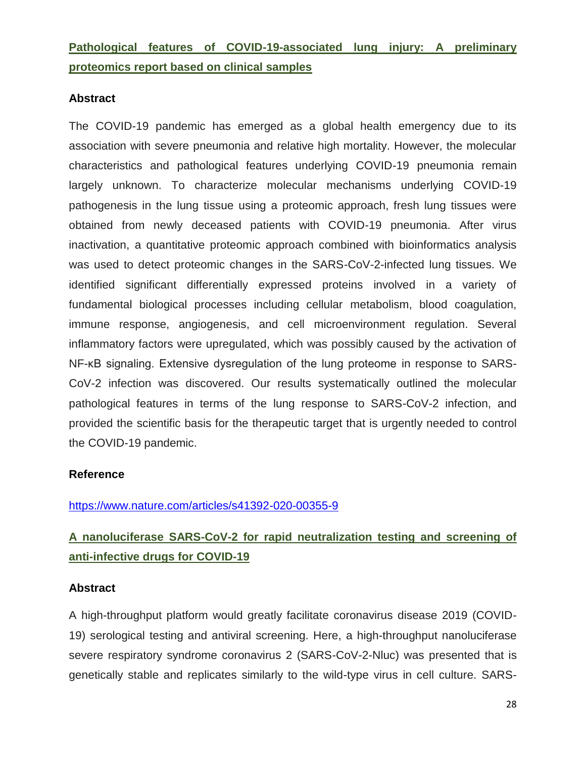**Pathological features of COVID-19-associated lung injury: A preliminary proteomics report based on clinical samples**

### **Abstract**

The COVID-19 pandemic has emerged as a global health emergency due to its association with severe pneumonia and relative high mortality. However, the molecular characteristics and pathological features underlying COVID-19 pneumonia remain largely unknown. To characterize molecular mechanisms underlying COVID-19 pathogenesis in the lung tissue using a proteomic approach, fresh lung tissues were obtained from newly deceased patients with COVID-19 pneumonia. After virus inactivation, a quantitative proteomic approach combined with bioinformatics analysis was used to detect proteomic changes in the SARS-CoV-2-infected lung tissues. We identified significant differentially expressed proteins involved in a variety of fundamental biological processes including cellular metabolism, blood coagulation, immune response, angiogenesis, and cell microenvironment regulation. Several inflammatory factors were upregulated, which was possibly caused by the activation of NF-κB signaling. Extensive dysregulation of the lung proteome in response to SARS-CoV-2 infection was discovered. Our results systematically outlined the molecular pathological features in terms of the lung response to SARS-CoV-2 infection, and provided the scientific basis for the therapeutic target that is urgently needed to control the COVID-19 pandemic.

### **Reference**

#### <https://www.nature.com/articles/s41392-020-00355-9>

# **A nanoluciferase SARS-CoV-2 for rapid neutralization testing and screening of anti-infective drugs for COVID-19**

### **Abstract**

A high-throughput platform would greatly facilitate coronavirus disease 2019 (COVID-19) serological testing and antiviral screening. Here, a high-throughput nanoluciferase severe respiratory syndrome coronavirus 2 (SARS-CoV-2-Nluc) was presented that is genetically stable and replicates similarly to the wild-type virus in cell culture. SARS-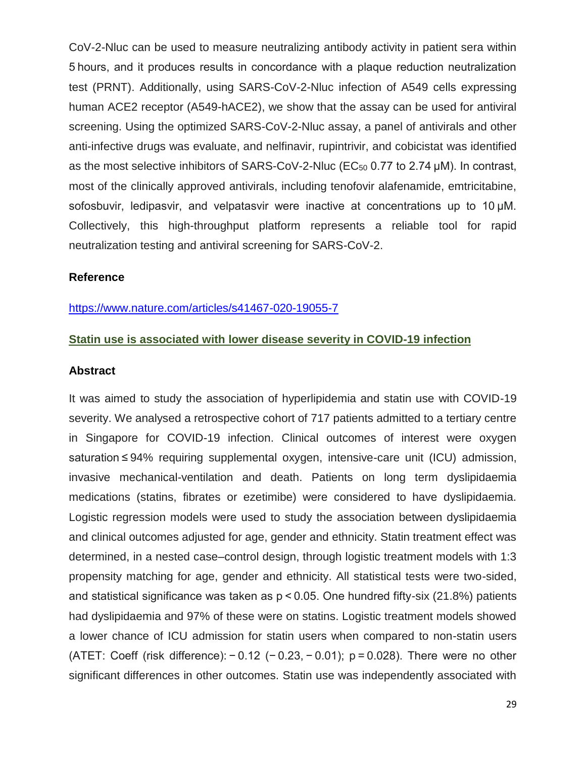CoV-2-Nluc can be used to measure neutralizing antibody activity in patient sera within 5 hours, and it produces results in concordance with a plaque reduction neutralization test (PRNT). Additionally, using SARS-CoV-2-Nluc infection of A549 cells expressing human ACE2 receptor (A549-hACE2), we show that the assay can be used for antiviral screening. Using the optimized SARS-CoV-2-Nluc assay, a panel of antivirals and other anti-infective drugs was evaluate, and nelfinavir, rupintrivir, and cobicistat was identified as the most selective inhibitors of SARS-CoV-2-Nluc ( $EC_{50}$  0.77 to 2.74  $\mu$ M). In contrast, most of the clinically approved antivirals, including tenofovir alafenamide, emtricitabine, sofosbuvir, ledipasvir, and velpatasvir were inactive at concentrations up to 10 µM. Collectively, this high-throughput platform represents a reliable tool for rapid neutralization testing and antiviral screening for SARS-CoV-2.

#### **Reference**

#### <https://www.nature.com/articles/s41467-020-19055-7>

#### **Statin use is associated with lower disease severity in COVID-19 infection**

#### **Abstract**

It was aimed to study the association of hyperlipidemia and statin use with COVID-19 severity. We analysed a retrospective cohort of 717 patients admitted to a tertiary centre in Singapore for COVID-19 infection. Clinical outcomes of interest were oxygen saturation ≤ 94% requiring supplemental oxygen, intensive-care unit (ICU) admission, invasive mechanical-ventilation and death. Patients on long term dyslipidaemia medications (statins, fibrates or ezetimibe) were considered to have dyslipidaemia. Logistic regression models were used to study the association between dyslipidaemia and clinical outcomes adjusted for age, gender and ethnicity. Statin treatment effect was determined, in a nested case–control design, through logistic treatment models with 1:3 propensity matching for age, gender and ethnicity. All statistical tests were two-sided, and statistical significance was taken as p < 0.05. One hundred fifty-six (21.8%) patients had dyslipidaemia and 97% of these were on statins. Logistic treatment models showed a lower chance of ICU admission for statin users when compared to non-statin users (ATET: Coeff (risk difference): − 0.12 (− 0.23, − 0.01); p = 0.028). There were no other significant differences in other outcomes. Statin use was independently associated with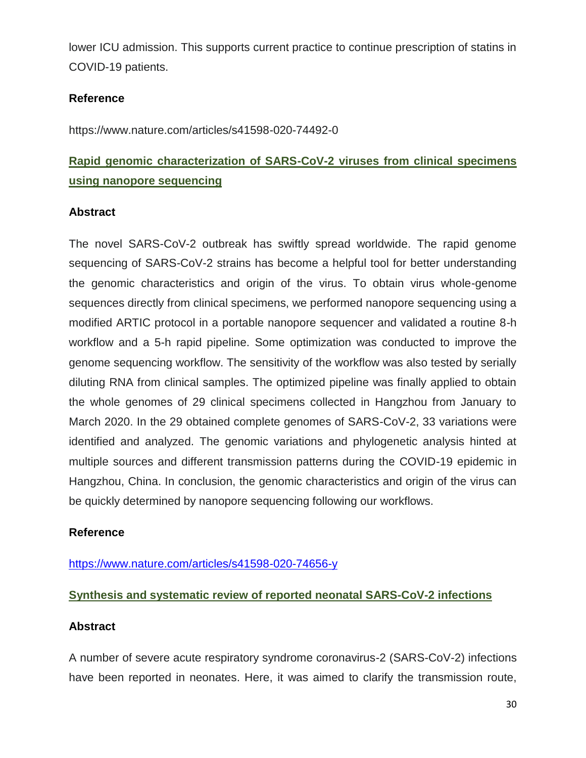lower ICU admission. This supports current practice to continue prescription of statins in COVID-19 patients.

### **Reference**

https://www.nature.com/articles/s41598-020-74492-0

# **Rapid genomic characterization of SARS-CoV-2 viruses from clinical specimens using nanopore sequencing**

### **Abstract**

The novel SARS-CoV-2 outbreak has swiftly spread worldwide. The rapid genome sequencing of SARS-CoV-2 strains has become a helpful tool for better understanding the genomic characteristics and origin of the virus. To obtain virus whole-genome sequences directly from clinical specimens, we performed nanopore sequencing using a modified ARTIC protocol in a portable nanopore sequencer and validated a routine 8-h workflow and a 5-h rapid pipeline. Some optimization was conducted to improve the genome sequencing workflow. The sensitivity of the workflow was also tested by serially diluting RNA from clinical samples. The optimized pipeline was finally applied to obtain the whole genomes of 29 clinical specimens collected in Hangzhou from January to March 2020. In the 29 obtained complete genomes of SARS-CoV-2, 33 variations were identified and analyzed. The genomic variations and phylogenetic analysis hinted at multiple sources and different transmission patterns during the COVID-19 epidemic in Hangzhou, China. In conclusion, the genomic characteristics and origin of the virus can be quickly determined by nanopore sequencing following our workflows.

### **Reference**

### <https://www.nature.com/articles/s41598-020-74656-y>

### **Synthesis and systematic review of reported neonatal SARS-CoV-2 infections**

### **Abstract**

A number of severe acute respiratory syndrome coronavirus-2 (SARS-CoV-2) infections have been reported in neonates. Here, it was aimed to clarify the transmission route,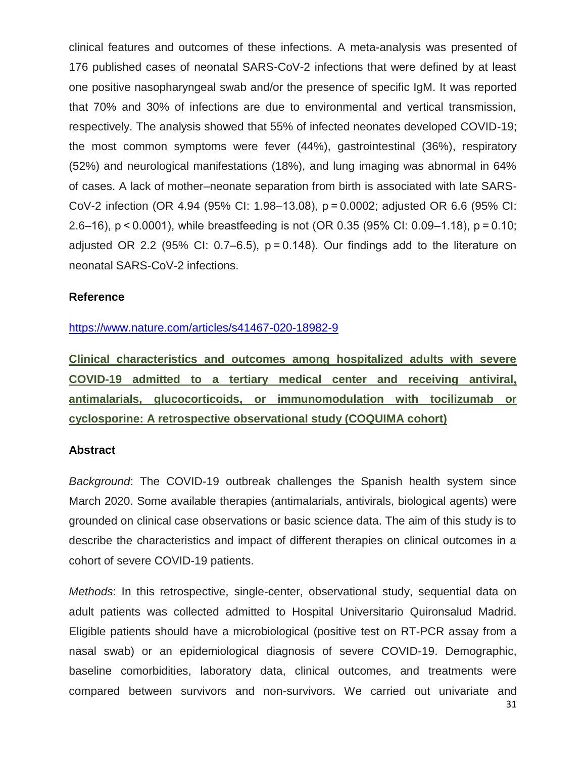clinical features and outcomes of these infections. A meta-analysis was presented of 176 published cases of neonatal SARS-CoV-2 infections that were defined by at least one positive nasopharyngeal swab and/or the presence of specific IgM. It was reported that 70% and 30% of infections are due to environmental and vertical transmission, respectively. The analysis showed that 55% of infected neonates developed COVID-19; the most common symptoms were fever (44%), gastrointestinal (36%), respiratory (52%) and neurological manifestations (18%), and lung imaging was abnormal in 64% of cases. A lack of mother–neonate separation from birth is associated with late SARS-CoV-2 infection (OR 4.94 (95% CI: 1.98–13.08), p = 0.0002; adjusted OR 6.6 (95% CI: 2.6–16), p < 0.0001), while breastfeeding is not (OR 0.35 (95% CI: 0.09–1.18), p = 0.10; adjusted OR 2.2 (95% CI:  $0.7-6.5$ ),  $p = 0.148$ ). Our findings add to the literature on neonatal SARS-CoV-2 infections.

#### **Reference**

#### <https://www.nature.com/articles/s41467-020-18982-9>

**Clinical characteristics and outcomes among hospitalized adults with severe COVID-19 admitted to a tertiary medical center and receiving antiviral, antimalarials, glucocorticoids, or immunomodulation with tocilizumab or cyclosporine: A retrospective observational study (COQUIMA cohort)** 

#### **Abstract**

*Background*: The COVID-19 outbreak challenges the Spanish health system since March 2020. Some available therapies (antimalarials, antivirals, biological agents) were grounded on clinical case observations or basic science data. The aim of this study is to describe the characteristics and impact of different therapies on clinical outcomes in a cohort of severe COVID-19 patients.

*Methods*: In this retrospective, single-center, observational study, sequential data on adult patients was collected admitted to Hospital Universitario Quironsalud Madrid. Eligible patients should have a microbiological (positive test on RT-PCR assay from a nasal swab) or an epidemiological diagnosis of severe COVID-19. Demographic, baseline comorbidities, laboratory data, clinical outcomes, and treatments were compared between survivors and non-survivors. We carried out univariate and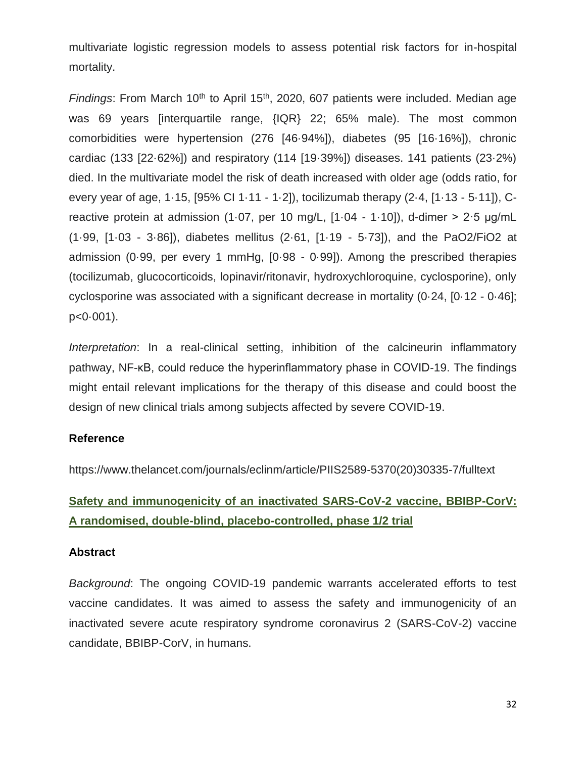multivariate logistic regression models to assess potential risk factors for in-hospital mortality.

*Findings*: From March 10<sup>th</sup> to April 15<sup>th</sup>, 2020, 607 patients were included. Median age was 69 years [interquartile range, {IQR} 22; 65% male). The most common comorbidities were hypertension (276 [46·94%]), diabetes (95 [16·16%]), chronic cardiac (133 [22·62%]) and respiratory (114 [19·39%]) diseases. 141 patients (23·2%) died. In the multivariate model the risk of death increased with older age (odds ratio, for every year of age, 1·15, [95% CI 1·11 - 1·2]), tocilizumab therapy (2·4, [1·13 - 5·11]), Creactive protein at admission (1·07, per 10 mg/L, [1·04 - 1·10]), d-dimer > 2·5 μg/mL (1·99, [1·03 - 3·86]), diabetes mellitus (2·61, [1·19 - 5·73]), and the PaO2/FiO2 at admission (0·99, per every 1 mmHg, [0·98 - 0·99]). Among the prescribed therapies (tocilizumab, glucocorticoids, lopinavir/ritonavir, hydroxychloroquine, cyclosporine), only cyclosporine was associated with a significant decrease in mortality (0·24, [0·12 - 0·46]; p<0·001).

*Interpretation*: In a real-clinical setting, inhibition of the calcineurin inflammatory pathway, NF-κΒ, could reduce the hyperinflammatory phase in COVID-19. The findings might entail relevant implications for the therapy of this disease and could boost the design of new clinical trials among subjects affected by severe COVID-19.

### **Reference**

[https://www.thelancet.com/journals/eclinm/article/PIIS2589-5370\(20\)30335-7/fulltext](https://www.thelancet.com/journals/eclinm/article/PIIS2589-5370(20)30335-7/fulltext)

# **Safety and immunogenicity of an inactivated SARS-CoV-2 vaccine, BBIBP-CorV: A randomised, double-blind, placebo-controlled, phase 1/2 trial**

### **Abstract**

*Background*: The ongoing COVID-19 pandemic warrants accelerated efforts to test vaccine candidates. It was aimed to assess the safety and immunogenicity of an inactivated severe acute respiratory syndrome coronavirus 2 (SARS-CoV-2) vaccine candidate, BBIBP-CorV, in humans.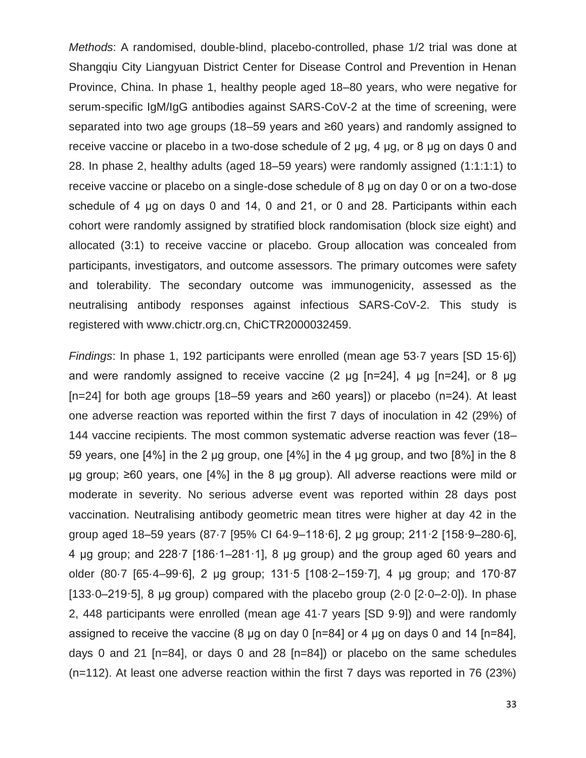*Methods*: A randomised, double-blind, placebo-controlled, phase 1/2 trial was done at Shangqiu City Liangyuan District Center for Disease Control and Prevention in Henan Province, China. In phase 1, healthy people aged 18–80 years, who were negative for serum-specific IgM/IgG antibodies against SARS-CoV-2 at the time of screening, were separated into two age groups (18–59 years and ≥60 years) and randomly assigned to receive vaccine or placebo in a two-dose schedule of 2 μg, 4 μg, or 8 μg on days 0 and 28. In phase 2, healthy adults (aged 18–59 years) were randomly assigned (1:1:1:1) to receive vaccine or placebo on a single-dose schedule of 8 μg on day 0 or on a two-dose schedule of 4 μg on days 0 and 14, 0 and 21, or 0 and 28. Participants within each cohort were randomly assigned by stratified block randomisation (block size eight) and allocated (3:1) to receive vaccine or placebo. Group allocation was concealed from participants, investigators, and outcome assessors. The primary outcomes were safety and tolerability. The secondary outcome was immunogenicity, assessed as the neutralising antibody responses against infectious SARS-CoV-2. This study is registered with www.chictr.org.cn, ChiCTR2000032459.

*Findings*: In phase 1, 192 participants were enrolled (mean age 53·7 years [SD 15·6]) and were randomly assigned to receive vaccine (2 μg [n=24], 4 μg [n=24], or 8 μg [n=24] for both age groups [18–59 years and ≥60 years]) or placebo (n=24). At least one adverse reaction was reported within the first 7 days of inoculation in 42 (29%) of 144 vaccine recipients. The most common systematic adverse reaction was fever (18– 59 years, one [4%] in the 2 μg group, one [4%] in the 4 μg group, and two [8%] in the 8 μg group; ≥60 years, one [4%] in the 8 μg group). All adverse reactions were mild or moderate in severity. No serious adverse event was reported within 28 days post vaccination. Neutralising antibody geometric mean titres were higher at day 42 in the group aged 18–59 years (87·7 [95% CI 64·9–118·6], 2 μg group; 211·2 [158·9–280·6], 4 μg group; and 228·7 [186·1–281·1], 8 μg group) and the group aged 60 years and older (80·7 [65·4–99·6], 2 μg group; 131·5 [108·2–159·7], 4 μg group; and 170·87 [133 $-219.5$ ], 8 µg group) compared with the placebo group (2 $0.0$  [2 $-2.0$ ]). In phase 2, 448 participants were enrolled (mean age 41·7 years [SD 9·9]) and were randomly assigned to receive the vaccine (8 μg on day 0 [n=84] or 4 μg on days 0 and 14 [n=84], days 0 and 21 [n=84], or days 0 and 28 [n=84]) or placebo on the same schedules (n=112). At least one adverse reaction within the first 7 days was reported in 76 (23%)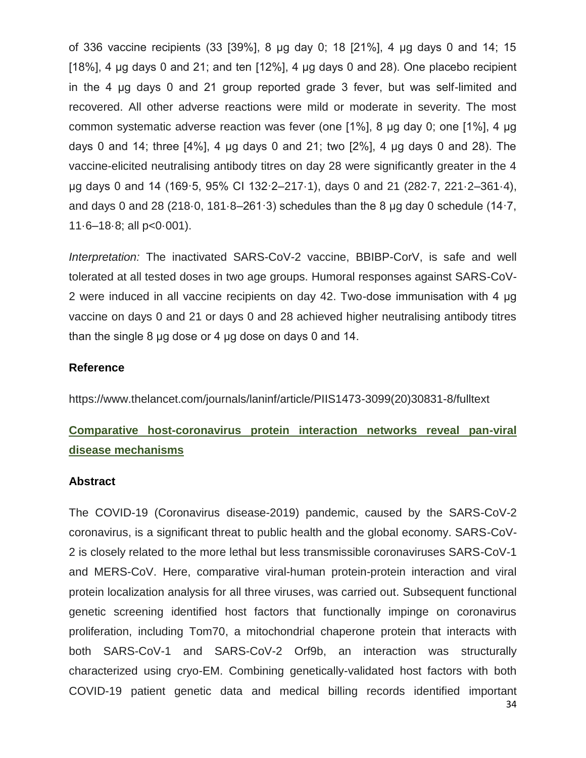of 336 vaccine recipients (33 [39%], 8 μg day 0; 18 [21%], 4 μg days 0 and 14; 15 [18%], 4  $\mu$ g days 0 and 21; and ten [12%], 4  $\mu$ g days 0 and 28). One placebo recipient in the 4 μg days 0 and 21 group reported grade 3 fever, but was self-limited and recovered. All other adverse reactions were mild or moderate in severity. The most common systematic adverse reaction was fever (one [1%], 8 μg day 0; one [1%], 4 μg days 0 and 14; three  $[4\%]$ , 4 µg days 0 and 21; two  $[2\%]$ , 4 µg days 0 and 28). The vaccine-elicited neutralising antibody titres on day 28 were significantly greater in the 4 μg days 0 and 14 (169·5, 95% CI 132·2–217·1), days 0 and 21 (282·7, 221·2–361·4), and days 0 and 28 (218 $\cdot$ 0, 181 $\cdot$ 8–261 $\cdot$ 3) schedules than the 8 µg day 0 schedule (14 $\cdot$ 7,  $11·6-18·8$ ; all  $p<0·001$ ).

*Interpretation:* The inactivated SARS-CoV-2 vaccine, BBIBP-CorV, is safe and well tolerated at all tested doses in two age groups. Humoral responses against SARS-CoV-2 were induced in all vaccine recipients on day 42. Two-dose immunisation with 4 μg vaccine on days 0 and 21 or days 0 and 28 achieved higher neutralising antibody titres than the single 8 μg dose or 4 μg dose on days 0 and 14.

### **Reference**

https://www.thelancet.com/journals/laninf/article/PIIS1473-3099(20)30831-8/fulltext

# **Comparative host-coronavirus protein interaction networks reveal pan-viral disease mechanisms**

#### **Abstract**

The COVID-19 (Coronavirus disease-2019) pandemic, caused by the SARS-CoV-2 coronavirus, is a significant threat to public health and the global economy. SARS-CoV-2 is closely related to the more lethal but less transmissible coronaviruses SARS-CoV-1 and MERS-CoV. Here, comparative viral-human protein-protein interaction and viral protein localization analysis for all three viruses, was carried out. Subsequent functional genetic screening identified host factors that functionally impinge on coronavirus proliferation, including Tom70, a mitochondrial chaperone protein that interacts with both SARS-CoV-1 and SARS-CoV-2 Orf9b, an interaction was structurally characterized using cryo-EM. Combining genetically-validated host factors with both COVID-19 patient genetic data and medical billing records identified important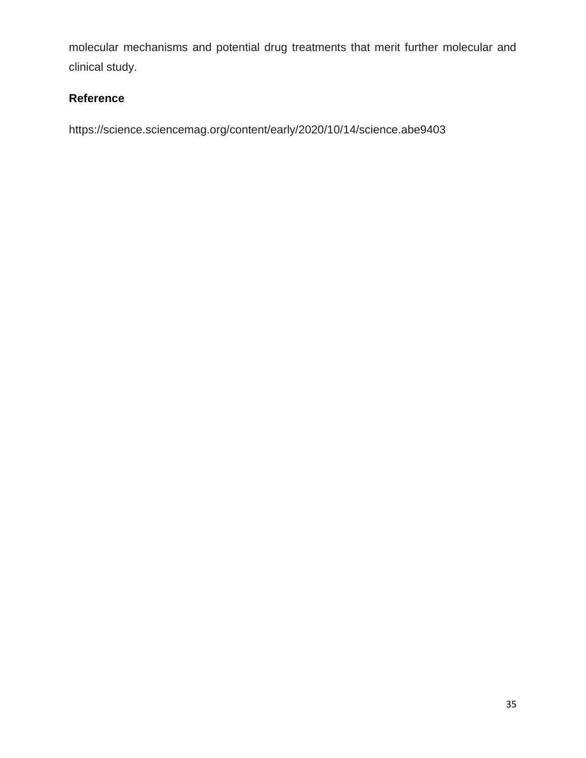molecular mechanisms and potential drug treatments that merit further molecular and clinical study.

## **Reference**

https://science.sciencemag.org/content/early/2020/10/14/science.abe9403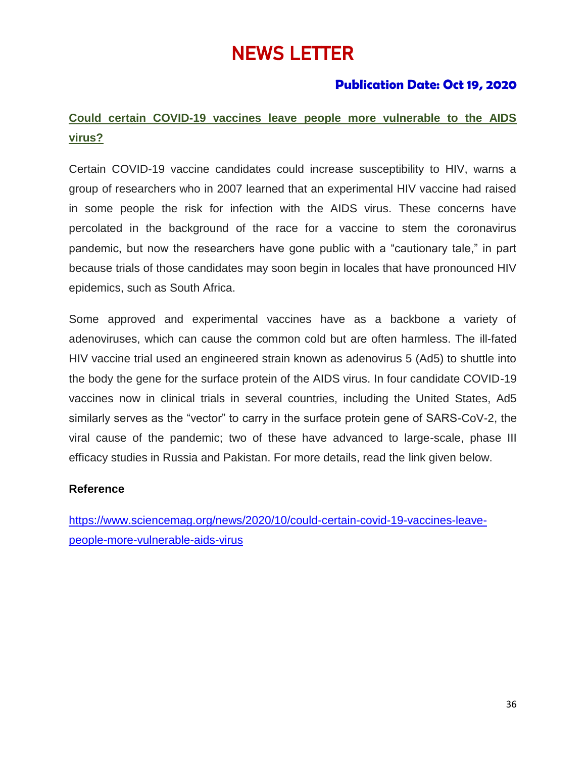# NEWS LETTER

# **Publication Date: Oct 19, 2020**

# **Could certain COVID-19 vaccines leave people more vulnerable to the AIDS virus?**

Certain COVID-19 vaccine candidates could increase susceptibility to HIV, warns a group of researchers who in 2007 learned that an experimental HIV vaccine had raised in some people the risk for infection with the AIDS virus. These concerns have percolated in the background of the race for a vaccine to stem the coronavirus pandemic, but now the researchers have gone public with a "cautionary tale," in part because trials of those candidates may soon begin in locales that have pronounced HIV epidemics, such as South Africa.

Some approved and experimental vaccines have as a backbone a variety of adenoviruses, which can cause the common cold but are often harmless. The ill-fated HIV vaccine trial used an engineered strain known as adenovirus 5 (Ad5) to shuttle into the body the gene for the surface protein of the AIDS virus. In four candidate COVID-19 vaccines now in clinical trials in several countries, including the United States, Ad5 similarly serves as the "vector" to carry in the surface protein gene of SARS-CoV-2, the viral cause of the pandemic; two of these have advanced to large-scale, phase III efficacy studies in Russia and Pakistan. For more details, read the link given below.

### **Reference**

[https://www.sciencemag.org/news/2020/10/could-certain-covid-19-vaccines-leave](https://www.sciencemag.org/news/2020/10/could-certain-covid-19-vaccines-leave-people-more-vulnerable-aids-virus)[people-more-vulnerable-aids-virus](https://www.sciencemag.org/news/2020/10/could-certain-covid-19-vaccines-leave-people-more-vulnerable-aids-virus)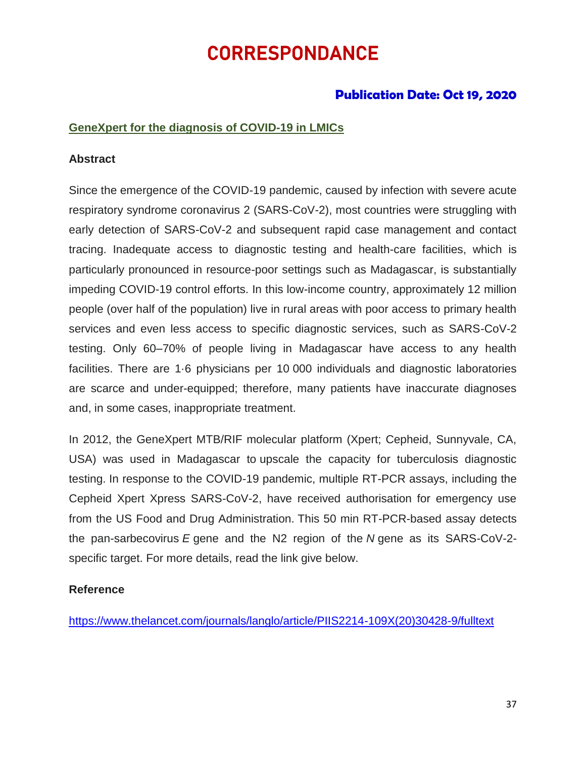# CORRESPONDANCE

# **Publication Date: Oct 19, 2020**

### **GeneXpert for the diagnosis of COVID-19 in LMICs**

### **Abstract**

Since the emergence of the COVID-19 pandemic, caused by infection with severe acute respiratory syndrome coronavirus 2 (SARS-CoV-2), most countries were struggling with early detection of SARS-CoV-2 and subsequent rapid case management and contact tracing. Inadequate access to diagnostic testing and health-care facilities, which is particularly pronounced in resource-poor settings such as Madagascar, is substantially impeding COVID-19 control efforts. In this low-income country, approximately 12 million people (over half of the population) live in rural areas with poor access to primary health services and even less access to specific diagnostic services, such as SARS-CoV-2 testing. Only 60–70% of people living in Madagascar have access to any health facilities. There are 1·6 physicians per 10 000 individuals and diagnostic laboratories are scarce and under-equipped; therefore, many patients have inaccurate diagnoses and, in some cases, inappropriate treatment.

In 2012, the GeneXpert MTB/RIF molecular platform (Xpert; Cepheid, Sunnyvale, CA, USA) was used in Madagascar to [upscale the capacity for tuberculosis diagnostic](https://bmcmedicine.biomedcentral.com/articles/10.1186/s12916-020-01626-6)  [testing.](https://bmcmedicine.biomedcentral.com/articles/10.1186/s12916-020-01626-6) In response to the COVID-19 pandemic, multiple RT-PCR assays, including the Cepheid Xpert Xpress SARS-CoV-2, have received authorisation for emergency use from the US Food and Drug Administration. This 50 min RT-PCR-based assay detects the pan-sarbecovirus *E* gene and the N2 region of the *N* gene as its SARS-CoV-2 specific target. For more details, read the link give below.

### **Reference**

[https://www.thelancet.com/journals/langlo/article/PIIS2214-109X\(20\)30428-9/fulltext](https://www.thelancet.com/journals/langlo/article/PIIS2214-109X(20)30428-9/fulltext)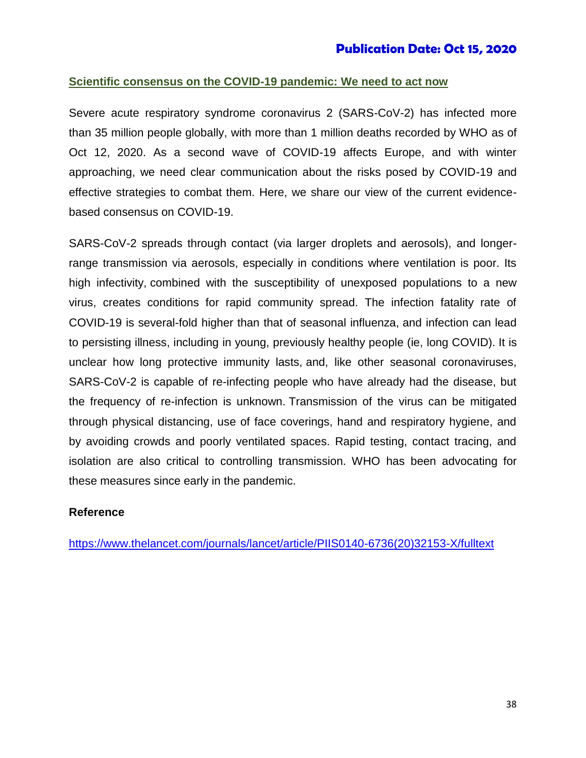### **Scientific consensus on the COVID-19 pandemic: We need to act now**

Severe acute respiratory syndrome coronavirus 2 (SARS-CoV-2) has infected more than 35 million people globally, with more than 1 million deaths recorded by WHO as of Oct 12, 2020. As a second wave of COVID-19 affects Europe, and with winter approaching, we need clear communication about the risks posed by COVID-19 and effective strategies to combat them. Here, we share our view of the current evidencebased consensus on COVID-19.

SARS-CoV-2 spreads through contact (via larger droplets and aerosols), and longerrange transmission via aerosols, especially in conditions where ventilation is poor. Its high infectivity, combined with the susceptibility of unexposed populations to a new virus, creates conditions for rapid community spread. The infection fatality rate of COVID-19 is several-fold higher than that of seasonal influenza, and infection can lead to persisting illness, including in young, previously healthy people (ie, long COVID). It is unclear how long protective immunity lasts, and, like other seasonal coronaviruses, SARS-CoV-2 is capable of re-infecting people who have already had the disease, but the frequency of re-infection is unknown. Transmission of the virus can be mitigated through physical distancing, use of face coverings, hand and respiratory hygiene, and by avoiding crowds and poorly ventilated spaces. Rapid testing, contact tracing, and isolation are also critical to controlling transmission. WHO has been advocating for these measures since early in the pandemic.

### **Reference**

[https://www.thelancet.com/journals/lancet/article/PIIS0140-6736\(20\)32153-X/fulltext](https://www.thelancet.com/journals/lancet/article/PIIS0140-6736(20)32153-X/fulltext)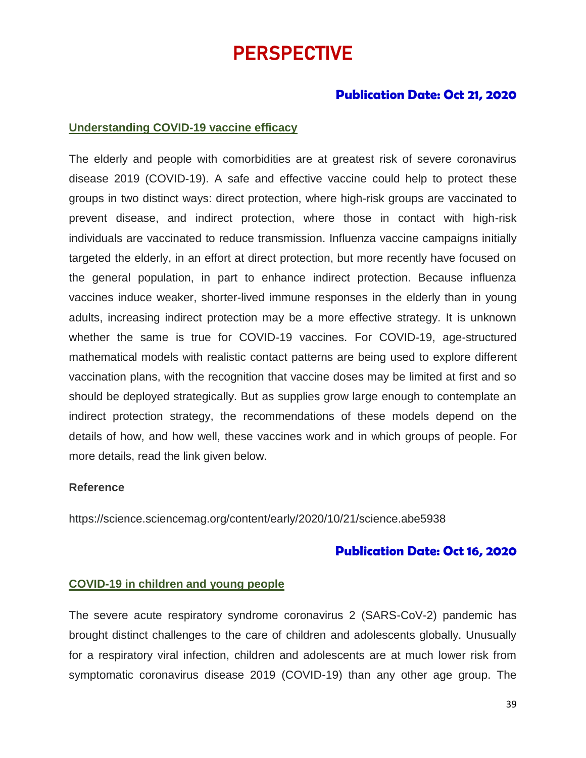# PERSPECTIVE

## **Publication Date: Oct 21, 2020**

### **Understanding COVID-19 vaccine efficacy**

The elderly and people with comorbidities are at greatest risk of severe coronavirus disease 2019 (COVID-19). A safe and effective vaccine could help to protect these groups in two distinct ways: direct protection, where high-risk groups are vaccinated to prevent disease, and indirect protection, where those in contact with high-risk individuals are vaccinated to reduce transmission. Influenza vaccine campaigns initially targeted the elderly, in an effort at direct protection, but more recently have focused on the general population, in part to enhance indirect protection. Because influenza vaccines induce weaker, shorter-lived immune responses in the elderly than in young adults, increasing indirect protection may be a more effective strategy. It is unknown whether the same is true for COVID-19 vaccines. For COVID-19, age-structured mathematical models with realistic contact patterns are being used to explore different vaccination plans, with the recognition that vaccine doses may be limited at first and so should be deployed strategically. But as supplies grow large enough to contemplate an indirect protection strategy, the recommendations of these models depend on the details of how, and how well, these vaccines work and in which groups of people. For more details, read the link given below.

#### **Reference**

<https://science.sciencemag.org/content/early/2020/10/21/science.abe5938>

### **Publication Date: Oct 16, 2020**

### **COVID-19 in children and young people**

The severe acute respiratory syndrome coronavirus 2 (SARS-CoV-2) pandemic has brought distinct challenges to the care of children and adolescents globally. Unusually for a respiratory viral infection, children and adolescents are at much lower risk from symptomatic coronavirus disease 2019 (COVID-19) than any other age group. The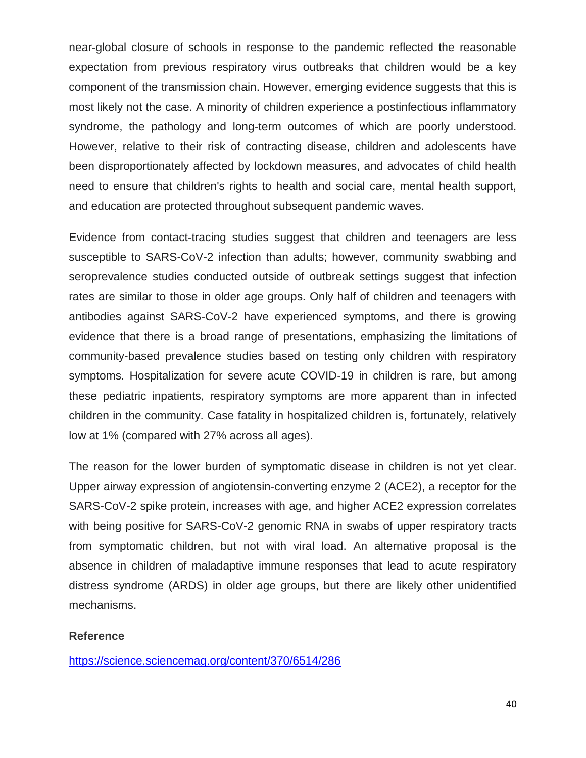near-global closure of schools in response to the pandemic reflected the reasonable expectation from previous respiratory virus outbreaks that children would be a key component of the transmission chain. However, emerging evidence suggests that this is most likely not the case. A minority of children experience a postinfectious inflammatory syndrome, the pathology and long-term outcomes of which are poorly understood. However, relative to their risk of contracting disease, children and adolescents have been disproportionately affected by lockdown measures, and advocates of child health need to ensure that children's rights to health and social care, mental health support, and education are protected throughout subsequent pandemic waves.

Evidence from contact-tracing studies suggest that children and teenagers are less susceptible to SARS-CoV-2 infection than adults; however, community swabbing and seroprevalence studies conducted outside of outbreak settings suggest that infection rates are similar to those in older age groups. Only half of children and teenagers with antibodies against SARS-CoV-2 have experienced symptoms, and there is growing evidence that there is a broad range of presentations, emphasizing the limitations of community-based prevalence studies based on testing only children with respiratory symptoms. Hospitalization for severe acute COVID-19 in children is rare, but among these pediatric inpatients, respiratory symptoms are more apparent than in infected children in the community. Case fatality in hospitalized children is, fortunately, relatively low at 1% (compared with 27% across all ages).

The reason for the lower burden of symptomatic disease in children is not yet clear. Upper airway expression of angiotensin-converting enzyme 2 (ACE2), a receptor for the SARS-CoV-2 spike protein, increases with age, and higher ACE2 expression correlates with being positive for SARS-CoV-2 genomic RNA in swabs of upper respiratory tracts from symptomatic children, but not with viral load. An alternative proposal is the absence in children of maladaptive immune responses that lead to acute respiratory distress syndrome (ARDS) in older age groups, but there are likely other unidentified mechanisms.

### **Reference**

<https://science.sciencemag.org/content/370/6514/286>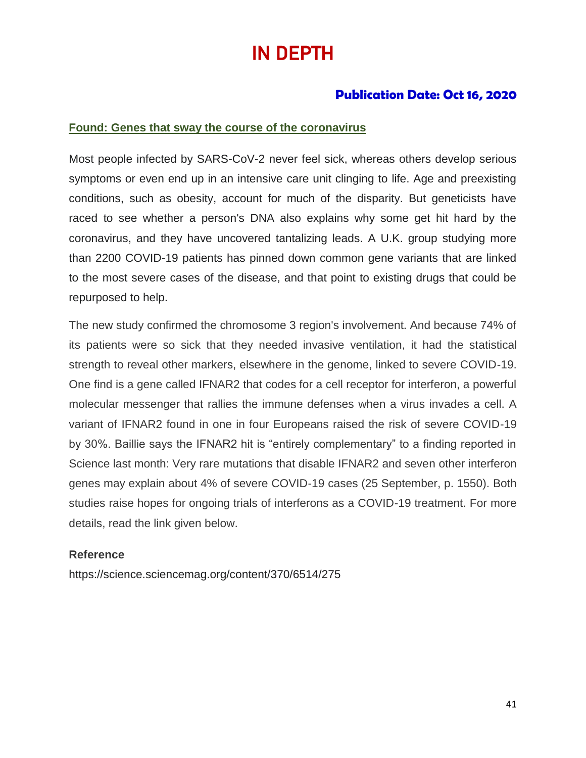# IN DEPTH

# **Publication Date: Oct 16, 2020**

### **Found: Genes that sway the course of the coronavirus**

Most people infected by SARS-CoV-2 never feel sick, whereas others develop serious symptoms or even end up in an intensive care unit clinging to life. Age and preexisting conditions, such as obesity, account for much of the disparity. But geneticists have raced to see whether a person's DNA also explains why some get hit hard by the coronavirus, and they have uncovered tantalizing leads. A U.K. group studying more than 2200 COVID-19 patients has pinned down common gene variants that are linked to the most severe cases of the disease, and that point to existing drugs that could be repurposed to help.

The new study confirmed the chromosome 3 region's involvement. And because 74% of its patients were so sick that they needed invasive ventilation, it had the statistical strength to reveal other markers, elsewhere in the genome, linked to severe COVID-19. One find is a gene called IFNAR2 that codes for a cell receptor for interferon, a powerful molecular messenger that rallies the immune defenses when a virus invades a cell. A variant of IFNAR2 found in one in four Europeans raised the risk of severe COVID-19 by 30%. Baillie says the IFNAR2 hit is "entirely complementary" to a finding reported in Science last month: Very rare mutations that disable IFNAR2 and seven other interferon genes may explain about 4% of severe COVID-19 cases (25 September, p. 1550). Both studies raise hopes for ongoing trials of interferons as a COVID-19 treatment. For more details, read the link given below.

### **Reference**

https://science.sciencemag.org/content/370/6514/275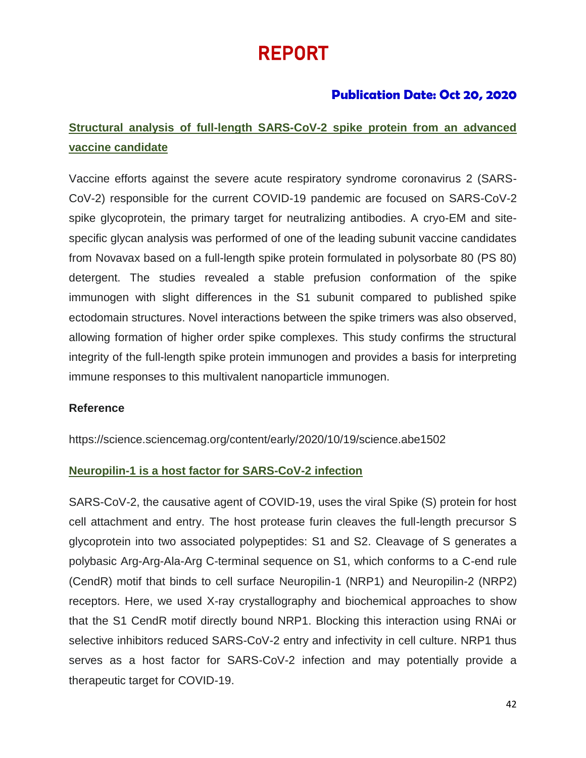# REPORT

# **Publication Date: Oct 20, 2020**

# **Structural analysis of full-length SARS-CoV-2 spike protein from an advanced vaccine candidate**

Vaccine efforts against the severe acute respiratory syndrome coronavirus 2 (SARS-CoV-2) responsible for the current COVID-19 pandemic are focused on SARS-CoV-2 spike glycoprotein, the primary target for neutralizing antibodies. A cryo-EM and sitespecific glycan analysis was performed of one of the leading subunit vaccine candidates from Novavax based on a full-length spike protein formulated in polysorbate 80 (PS 80) detergent. The studies revealed a stable prefusion conformation of the spike immunogen with slight differences in the S1 subunit compared to published spike ectodomain structures. Novel interactions between the spike trimers was also observed, allowing formation of higher order spike complexes. This study confirms the structural integrity of the full-length spike protein immunogen and provides a basis for interpreting immune responses to this multivalent nanoparticle immunogen.

### **Reference**

https://science.sciencemag.org/content/early/2020/10/19/science.abe1502

### **Neuropilin-1 is a host factor for SARS-CoV-2 infection**

SARS-CoV-2, the causative agent of COVID-19, uses the viral Spike (S) protein for host cell attachment and entry. The host protease furin cleaves the full-length precursor S glycoprotein into two associated polypeptides: S1 and S2. Cleavage of S generates a polybasic Arg-Arg-Ala-Arg C-terminal sequence on S1, which conforms to a C-end rule (CendR) motif that binds to cell surface Neuropilin-1 (NRP1) and Neuropilin-2 (NRP2) receptors. Here, we used X-ray crystallography and biochemical approaches to show that the S1 CendR motif directly bound NRP1. Blocking this interaction using RNAi or selective inhibitors reduced SARS-CoV-2 entry and infectivity in cell culture. NRP1 thus serves as a host factor for SARS-CoV-2 infection and may potentially provide a therapeutic target for COVID-19.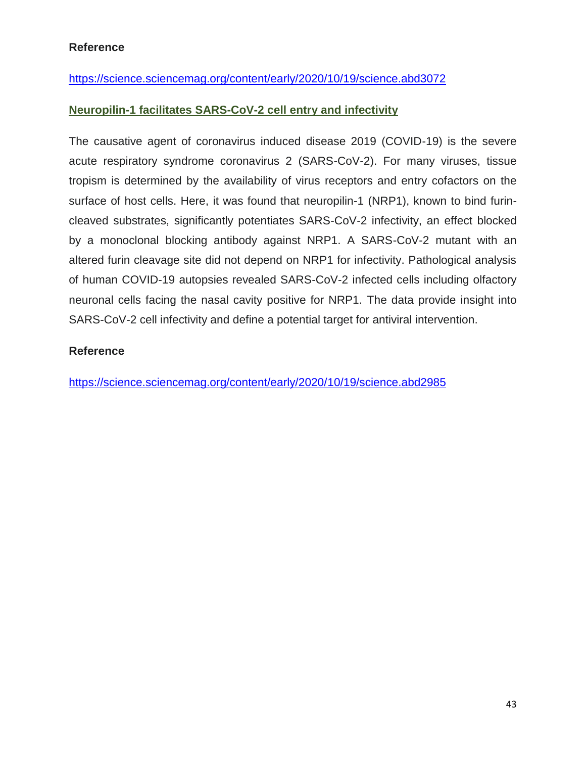### **Reference**

### <https://science.sciencemag.org/content/early/2020/10/19/science.abd3072>

### **Neuropilin-1 facilitates SARS-CoV-2 cell entry and infectivity**

The causative agent of coronavirus induced disease 2019 (COVID-19) is the severe acute respiratory syndrome coronavirus 2 (SARS-CoV-2). For many viruses, tissue tropism is determined by the availability of virus receptors and entry cofactors on the surface of host cells. Here, it was found that neuropilin-1 (NRP1), known to bind furincleaved substrates, significantly potentiates SARS-CoV-2 infectivity, an effect blocked by a monoclonal blocking antibody against NRP1. A SARS-CoV-2 mutant with an altered furin cleavage site did not depend on NRP1 for infectivity. Pathological analysis of human COVID-19 autopsies revealed SARS-CoV-2 infected cells including olfactory neuronal cells facing the nasal cavity positive for NRP1. The data provide insight into SARS-CoV-2 cell infectivity and define a potential target for antiviral intervention.

### **Reference**

<https://science.sciencemag.org/content/early/2020/10/19/science.abd2985>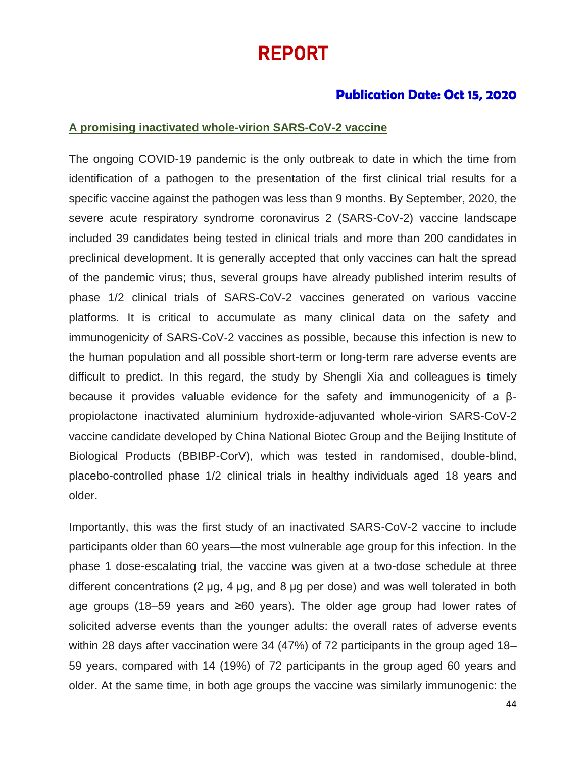# REPORT

### **Publication Date: Oct 15, 2020**

#### **A promising inactivated whole-virion SARS-CoV-2 vaccine**

The ongoing COVID-19 pandemic is the only outbreak to date in which the time from identification of a pathogen to the presentation of the first clinical trial results for a specific vaccine against the pathogen was less than 9 months. By September, 2020, the severe acute respiratory syndrome coronavirus 2 (SARS-CoV-2) vaccine landscape included 39 candidates being tested in clinical trials and more than 200 candidates in preclinical development. It is generally accepted that only vaccines can halt the spread of the pandemic virus; thus, several groups have already published interim results of phase 1/2 clinical trials of SARS-CoV-2 vaccines generated on various vaccine platforms. It is critical to accumulate as many clinical data on the safety and immunogenicity of SARS-CoV-2 vaccines as possible, because this infection is new to the human population and all possible short-term or long-term rare adverse events are difficult to predict. In this regard, the study by Shengli Xia and colleagues is timely because it provides valuable evidence for the safety and immunogenicity of a βpropiolactone inactivated aluminium hydroxide-adjuvanted whole-virion SARS-CoV-2 vaccine candidate developed by China National Biotec Group and the Beijing Institute of Biological Products (BBIBP-CorV), which was tested in randomised, double-blind, placebo-controlled phase 1/2 clinical trials in healthy individuals aged 18 years and older.

Importantly, this was the first study of an inactivated SARS-CoV-2 vaccine to include participants older than 60 years—the most vulnerable age group for this infection. In the phase 1 dose-escalating trial, the vaccine was given at a two-dose schedule at three different concentrations (2 μg, 4 μg, and 8 μg per dose) and was well tolerated in both age groups (18–59 years and ≥60 years). The older age group had lower rates of solicited adverse events than the younger adults: the overall rates of adverse events within 28 days after vaccination were 34 (47%) of 72 participants in the group aged 18– 59 years, compared with 14 (19%) of 72 participants in the group aged 60 years and older. At the same time, in both age groups the vaccine was similarly immunogenic: the